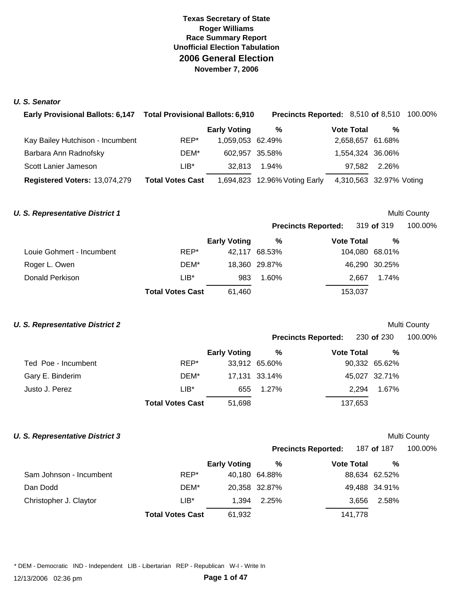#### *U. S. Senator*

| Early Provisional Ballots: 6,147 Total Provisional Ballots: 6,910 |                         |                     | <b>Precincts Reported: 8,510 of 8,510 100.00%</b> |                         |              |  |
|-------------------------------------------------------------------|-------------------------|---------------------|---------------------------------------------------|-------------------------|--------------|--|
|                                                                   |                         | <b>Early Voting</b> | %                                                 | <b>Vote Total</b>       | %            |  |
| Kay Bailey Hutchison - Incumbent                                  | REP*                    | 1,059,053 62.49%    |                                                   | 2,658,657 61.68%        |              |  |
| Barbara Ann Radnofsky                                             | DEM*                    | 602.957 35.58%      |                                                   | 1,554,324 36.06%        |              |  |
| Scott Lanier Jameson                                              | LIB*                    | 32.813              | 1.94%                                             |                         | 97,582 2.26% |  |
| Registered Voters: 13,074,279                                     | <b>Total Votes Cast</b> |                     | 1,694,823 12.96% Voting Early                     | 4,310,563 32.97% Voting |              |  |

#### **U. S. Representative District 1 Multi County Multi County Multi County**

**Precincts Reported:** 319 **of** 319 100.00%

|                           |                         | <b>Early Voting</b> | %             | <b>Vote Total</b> | %             |  |
|---------------------------|-------------------------|---------------------|---------------|-------------------|---------------|--|
| Louie Gohmert - Incumbent | REP*                    |                     | 42,117 68.53% | 104,080 68.01%    |               |  |
| Roger L. Owen             | DEM*                    |                     | 18,360 29.87% |                   | 46,290 30.25% |  |
| Donald Perkison           | $LIB*$                  | 983                 | 1.60%         |                   | 2.667 1.74%   |  |
|                           | <b>Total Votes Cast</b> | 61,460              |               | 153,037           |               |  |

#### **U. S. Representative District 2** and the set of the set of the set of the set of the set of the Multi County

|                     |                         |                     | <b>Precincts Reported:</b> |                   | 230 <b>of</b> 230 | 100.00% |  |
|---------------------|-------------------------|---------------------|----------------------------|-------------------|-------------------|---------|--|
|                     |                         | <b>Early Voting</b> | %                          | <b>Vote Total</b> | %                 |         |  |
| Ted Poe - Incumbent | REP*                    |                     | 33,912 65.60%              |                   | 90,332 65.62%     |         |  |
| Gary E. Binderim    | DEM*                    |                     | 17,131 33.14%              |                   | 45,027 32.71%     |         |  |
| Justo J. Perez      | $LIB*$                  | 655                 | $1.27\%$                   | 2.294             | 1.67%             |         |  |
|                     | <b>Total Votes Cast</b> | 51,698              |                            | 137,653           |                   |         |  |

## **U. S. Representative District 3** Multi County

## **Precincts Reported:** 187 **of** 187 100.00%

|                         |                         | <b>Early Voting</b> | %             | <b>Vote Total</b> | $\frac{0}{0}$ |
|-------------------------|-------------------------|---------------------|---------------|-------------------|---------------|
| Sam Johnson - Incumbent | REP*                    |                     | 40,180 64.88% |                   | 88,634 62.52% |
| Dan Dodd                | DEM*                    |                     | 20,358 32.87% |                   | 49,488 34.91% |
| Christopher J. Claytor  | $LIB*$                  | 1.394               | 2.25%         | 3.656             | 2.58%         |
|                         | <b>Total Votes Cast</b> | 61,932              |               | 141,778           |               |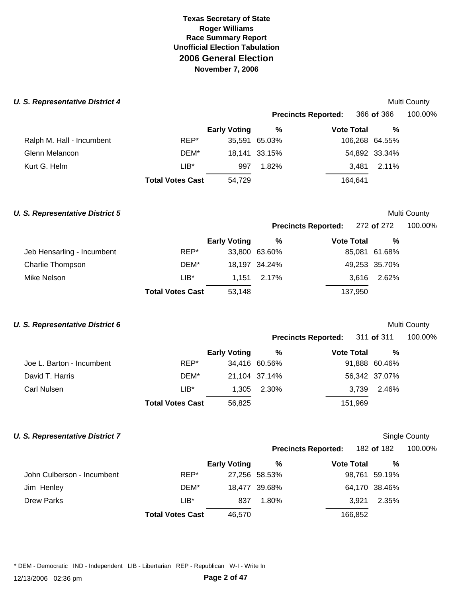#### **U. S. Representative District 4 Multi County 6 and 2009 Multi County 6 and 2009 Multi County 6 and 2009 Multi County 6 and 2009**

|                           |                         |                     |               | <b>Precincts Reported:</b> | 366 of 366     | 100.00% |
|---------------------------|-------------------------|---------------------|---------------|----------------------------|----------------|---------|
|                           |                         | <b>Early Voting</b> | %             | <b>Vote Total</b>          | %              |         |
| Ralph M. Hall - Incumbent | REP*                    |                     | 35,591 65.03% |                            | 106,268 64.55% |         |
| Glenn Melancon            | DEM*                    |                     | 18,141 33.15% |                            | 54,892 33.34%  |         |
| Kurt G. Helm              | $LIB*$                  | 997                 | 1.82%         | 3.481                      | 2.11%          |         |
|                           | <b>Total Votes Cast</b> | 54,729              |               | 164.641                    |                |         |
|                           |                         |                     |               |                            |                |         |

#### **U. S. Representative District 5 Multi County Multi County Multi County**

**Precincts Reported:** 272 **of** 272 100.00%

|  |  |  | 1 VV.VV 70 |  |
|--|--|--|------------|--|
|  |  |  |            |  |
|  |  |  |            |  |

|                            |                         | <b>Early Voting</b> | %             | <b>Vote Total</b> | %             |
|----------------------------|-------------------------|---------------------|---------------|-------------------|---------------|
| Jeb Hensarling - Incumbent | REP*                    |                     | 33,800 63.60% |                   | 85,081 61.68% |
| Charlie Thompson           | DEM*                    |                     | 18.197 34.24% |                   | 49,253 35.70% |
| Mike Nelson                | $LIB*$                  |                     | 1.151 2.17%   |                   | 3.616 2.62%   |
|                            | <b>Total Votes Cast</b> | 53,148              |               | 137,950           |               |

#### **U. S. Representative District 6 Multi County Multi County Multi County**

|                           |                         |                     |               | Precincts Reported: 311 of 311 |                | 100.00% |
|---------------------------|-------------------------|---------------------|---------------|--------------------------------|----------------|---------|
|                           |                         | <b>Early Voting</b> | %             | <b>Vote Total</b>              | %              |         |
| Joe L. Barton - Incumbent | REP*                    |                     | 34,416 60.56% |                                | 91,888 60.46%  |         |
| David T. Harris           | DEM*                    |                     | 21,104 37.14% |                                | 56,342 37.07%  |         |
| Carl Nulsen               | $LIB*$                  | 1.305               | 2.30%         |                                | 2.46%<br>3.739 |         |
|                           | <b>Total Votes Cast</b> | 56,825              |               | 151,969                        |                |         |

## **U. S. Representative District 7** Single County

## **Precincts Reported:** 182 **of** 182 100.00%

|                            |                         | <b>Early Voting</b> | %             | <b>Vote Total</b> | %             |  |
|----------------------------|-------------------------|---------------------|---------------|-------------------|---------------|--|
| John Culberson - Incumbent | REP*                    |                     | 27,256 58.53% |                   | 98,761 59.19% |  |
| Jim Henley                 | DEM*                    |                     | 18,477 39.68% |                   | 64,170 38.46% |  |
| Drew Parks                 | $LIB*$                  | 837                 | $1.80\%$      | 3.921             | 2.35%         |  |
|                            | <b>Total Votes Cast</b> | 46,570              |               | 166,852           |               |  |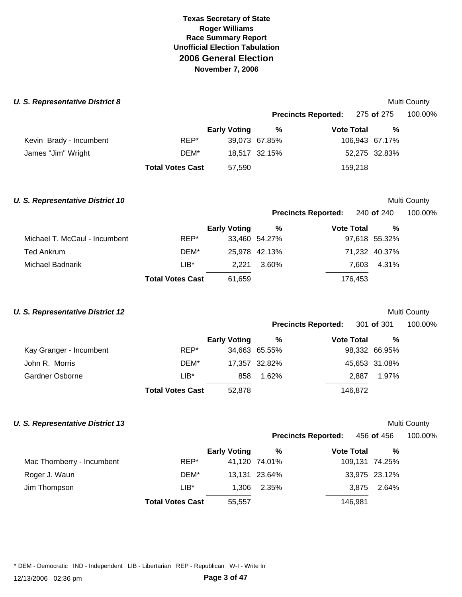#### **U. S. Representative District 8 Multi County 6 and 2009 Multi County 6 and 2009 Multi County 6 and 2009**

|                         |                         |                     |               | Precincts Reported: 275 of 275 |                | 100.00% |
|-------------------------|-------------------------|---------------------|---------------|--------------------------------|----------------|---------|
|                         |                         | <b>Early Voting</b> | %             | <b>Vote Total</b>              | %              |         |
| Kevin Brady - Incumbent | REP*                    |                     | 39,073 67.85% |                                | 106,943 67.17% |         |
| James "Jim" Wright      | DEM*                    |                     | 18,517 32.15% |                                | 52,275 32.83%  |         |
|                         | <b>Total Votes Cast</b> | 57,590              |               | 159.218                        |                |         |

# **U. S. Representative District 10 Multi County Multi County Multi County Precincts Reported:** 240 **of** 240 100.00% **Early Voting % Vote Total %**  Michael T. McCaul - Incumbent **REP\*** 33,460 54.27% 97,618 55.32% Ted Ankrum **DEM\*** 25,978 42.13% 71,232 40.37% Michael Badnarik LIB\* 2,221 3.60% 7,603 4.31% **Total Votes Cast** 61,659 176,453

#### **U. S. Representative District 12** and the set of the set of the set of the set of the Multi County

| <b>Precincts Reported:</b> | 301 of 301 | 100.00% |
|----------------------------|------------|---------|
|                            |            |         |

|                         |                         | <b>Early Voting</b> | %             | <b>Vote Total</b> | %             |  |
|-------------------------|-------------------------|---------------------|---------------|-------------------|---------------|--|
| Kay Granger - Incumbent | REP*                    |                     | 34,663 65.55% |                   | 98,332 66.95% |  |
| John R. Morris          | DEM*                    |                     | 17,357 32.82% |                   | 45,653 31.08% |  |
| Gardner Osborne         | $LIB^*$                 | 858                 | 1.62%         | 2.887             | 1.97%         |  |
|                         | <b>Total Votes Cast</b> | 52,878              |               | 146,872           |               |  |

#### **U. S. Representative District 13** Multi County

|                            |                         |                     |               | <b>Precincts Reported:</b> | 456 <b>of</b> 456 | 100.00% |
|----------------------------|-------------------------|---------------------|---------------|----------------------------|-------------------|---------|
|                            |                         | <b>Early Voting</b> | %             | <b>Vote Total</b>          | %                 |         |
| Mac Thornberry - Incumbent | REP*                    |                     | 41,120 74.01% |                            | 109,131 74.25%    |         |
| Roger J. Waun              | DEM*                    |                     | 13,131 23.64% |                            | 33,975 23.12%     |         |
| Jim Thompson               | $LIB*$                  | 1.306               | 2.35%         | 3.875                      | 2.64%             |         |
|                            | <b>Total Votes Cast</b> | 55,557              |               | 146.981                    |                   |         |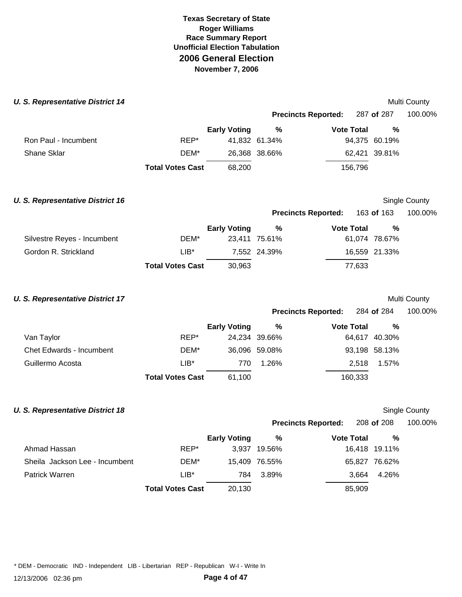#### **U. S. Representative District 14 Multi County Multi County Multi County Multi County**

|                      |                         |                     |               |                            |                   | <b>IVIUIU VUUILY</b> |
|----------------------|-------------------------|---------------------|---------------|----------------------------|-------------------|----------------------|
|                      |                         |                     |               | <b>Precincts Reported:</b> | 287 <b>of</b> 287 | 100.00%              |
|                      |                         | <b>Early Voting</b> | %             | <b>Vote Total</b>          | %                 |                      |
| Ron Paul - Incumbent | REP*                    |                     | 41,832 61.34% |                            | 94,375 60.19%     |                      |
| Shane Sklar          | DEM*                    |                     | 26,368 38.66% |                            | 62,421 39.81%     |                      |
|                      | <b>Total Votes Cast</b> | 68,200              |               | 156,796                    |                   |                      |
|                      |                         |                     |               |                            |                   |                      |

| <b>U. S. Representative District 16</b> |                         |                     |               |                            |        |               | Single County |
|-----------------------------------------|-------------------------|---------------------|---------------|----------------------------|--------|---------------|---------------|
|                                         |                         |                     |               | <b>Precincts Reported:</b> |        | 163 of 163    | 100.00%       |
|                                         |                         | <b>Early Voting</b> | %             | <b>Vote Total</b>          |        | %             |               |
| Silvestre Reyes - Incumbent             | DEM*                    |                     | 23.411 75.61% |                            |        | 61,074 78.67% |               |
| Gordon R. Strickland                    | LIB*                    |                     | 7.552 24.39%  |                            |        | 16,559 21.33% |               |
|                                         | <b>Total Votes Cast</b> | 30,963              |               |                            | 77,633 |               |               |

| <b>U. S. Representative District 17</b> |                         |                     |               |                            |               | <b>Multi County</b> |
|-----------------------------------------|-------------------------|---------------------|---------------|----------------------------|---------------|---------------------|
|                                         |                         |                     |               | <b>Precincts Reported:</b> | 284 of 284    | 100.00%             |
|                                         |                         | <b>Early Voting</b> | %             | <b>Vote Total</b>          | %             |                     |
| Van Taylor                              | REP*                    |                     | 24,234 39.66% |                            | 64,617 40.30% |                     |
| <b>Chet Edwards - Incumbent</b>         | DEM*                    |                     | 36,096 59.08% |                            | 93,198 58.13% |                     |
| Guillermo Acosta                        | $LIB*$                  | 770                 | 1.26%         | 2.518                      | 1.57%         |                     |
|                                         | <b>Total Votes Cast</b> | 61,100              |               | 160,333                    |               |                     |
|                                         |                         |                     |               |                            |               |                     |

#### **U. S. Representative District 18**

| Single County |
|---------------|
|               |

|                                |                         |                     |               | <b>Precincts Reported:</b> | 208 of 208     | 100.00% |
|--------------------------------|-------------------------|---------------------|---------------|----------------------------|----------------|---------|
|                                |                         | <b>Early Voting</b> | %             | <b>Vote Total</b>          | %              |         |
| Ahmad Hassan                   | REP*                    | 3.937               | 19.56%        |                            | 16,418 19.11%  |         |
| Sheila Jackson Lee - Incumbent | DEM*                    |                     | 15,409 76.55% |                            | 65,827 76.62%  |         |
| Patrick Warren                 | $LIB*$                  | 784                 | 3.89%         |                            | 4.26%<br>3.664 |         |
|                                | <b>Total Votes Cast</b> | 20,130              |               | 85,909                     |                |         |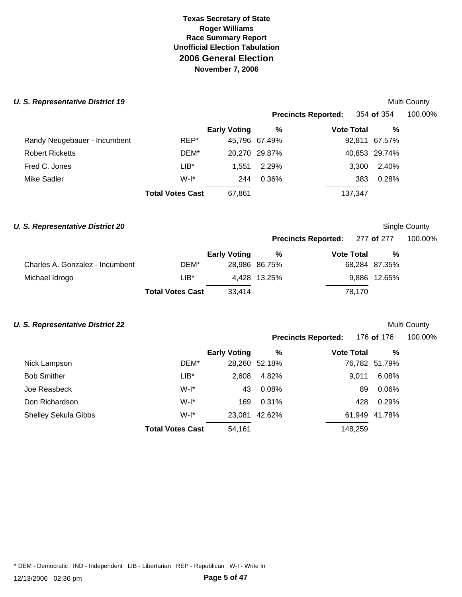#### **U. S. Representative District 19 Multi County Multi County Multi County Multi County**

|                              |                         |                     |               | <b>Precincts Reported:</b> | 354 of 354    | 100.00% |
|------------------------------|-------------------------|---------------------|---------------|----------------------------|---------------|---------|
|                              |                         | <b>Early Voting</b> | %             | <b>Vote Total</b>          | %             |         |
| Randy Neugebauer - Incumbent | REP*                    |                     | 45,796 67.49% |                            | 92,811 67.57% |         |
| <b>Robert Ricketts</b>       | DEM*                    |                     | 20,270 29.87% |                            | 40,853 29.74% |         |
| Fred C. Jones                | $LIB*$                  | 1.551               | 2.29%         | 3.300                      | 2.40%         |         |
| Mike Sadler                  | $W-I^*$                 | 244                 | 0.36%         | 383                        | 0.28%         |         |
|                              | <b>Total Votes Cast</b> | 67,861              |               | 137,347                    |               |         |
|                              |                         |                     |               |                            |               |         |

#### **U. S. Representative District 20 Single County County County County County County County County County**

|                                 |                         |                     |               | Precincts Reported: 277 of 277 |               | 100.00% |  |
|---------------------------------|-------------------------|---------------------|---------------|--------------------------------|---------------|---------|--|
|                                 |                         | <b>Early Voting</b> | %             | <b>Vote Total</b>              | %             |         |  |
| Charles A. Gonzalez - Incumbent | DEM*                    |                     | 28,986 86.75% |                                | 68,284 87.35% |         |  |
| Michael Idrogo                  | $LIB*$                  |                     | 4.428 13.25%  |                                | 9,886 12.65%  |         |  |
|                                 | <b>Total Votes Cast</b> | 33,414              |               | 78.170                         |               |         |  |

#### **U. S. Representative District 22** and the set of the set of the set of the set of the set of the Multi County

|                             |                         |                     |               | <b>Precincts Reported:</b> | 176 <b>of</b> 176 | 100.00% |
|-----------------------------|-------------------------|---------------------|---------------|----------------------------|-------------------|---------|
|                             |                         | <b>Early Voting</b> | %             | <b>Vote Total</b>          | %                 |         |
| Nick Lampson                | DEM*                    |                     | 28,260 52.18% |                            | 76,782 51.79%     |         |
| <b>Bob Smither</b>          | $LIB*$                  | 2,608               | 4.82%         | 9,011                      | 6.08%             |         |
| Joe Reasbeck                | $W-I^*$                 | 43                  | 0.08%         |                            | 0.06%<br>89       |         |
| Don Richardson              | $W-I^*$                 | 169                 | 0.31%         | 428                        | 0.29%             |         |
| <b>Shelley Sekula Gibbs</b> | $W-I^*$                 | 23,081              | 42.62%        |                            | 61,949 41.78%     |         |
|                             | <b>Total Votes Cast</b> | 54,161              |               | 148,259                    |                   |         |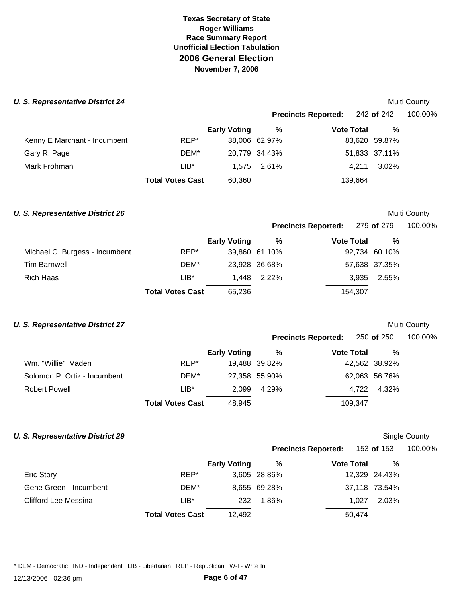#### **U. S. Representative District 24 Multi County County County County County County County County County County County**

|        |                     |                         |                                                  |                            | 100.00%                                                                               |
|--------|---------------------|-------------------------|--------------------------------------------------|----------------------------|---------------------------------------------------------------------------------------|
|        | <b>Early Voting</b> | %                       |                                                  | %                          |                                                                                       |
| REP*   |                     |                         |                                                  |                            |                                                                                       |
| DEM*   |                     |                         |                                                  |                            |                                                                                       |
| $LIB*$ |                     |                         |                                                  | 3.02%                      |                                                                                       |
|        | 60,360              |                         |                                                  |                            |                                                                                       |
|        |                     | <b>Total Votes Cast</b> | 38,006 62.97%<br>20,779 34.43%<br>2.61%<br>1.575 | <b>Precincts Reported:</b> | 242 of 242<br><b>Vote Total</b><br>83,620 59.87%<br>51,833 37.11%<br>4.211<br>139,664 |

#### **U. S. Representative District 26** and the set of the set of the set of the set of the set of the Multi County

**Precincts Reported:** 279 **of** 279 100.00%

|                                |        | <b>Early Voting</b> | %             | <b>Vote Total</b> | %             |
|--------------------------------|--------|---------------------|---------------|-------------------|---------------|
| Michael C. Burgess - Incumbent | REP*   |                     | 39,860 61.10% |                   | 92,734 60.10% |
| Tim Barnwell                   | DEM*   |                     | 23,928 36.68% |                   | 57,638 37.35% |
| Rich Haas                      | $LIB*$ |                     | 1.448 2.22%   |                   | 3.935 2.55%   |
|                                |        |                     |               |                   |               |

**Total Votes Cast** 65,236 154,307

#### **U. S. Representative District 27 Multi County Multi County Multi County Multi County**

|                              |                         |                     |               | Precincts Reported: 250 of 250 |               | 100.00% |
|------------------------------|-------------------------|---------------------|---------------|--------------------------------|---------------|---------|
|                              |                         | <b>Early Voting</b> | %             | <b>Vote Total</b>              | %             |         |
| Wm. "Willie" Vaden           | REP*                    |                     | 19,488 39.82% |                                | 42,562 38.92% |         |
| Solomon P. Ortiz - Incumbent | DEM*                    |                     | 27,358 55.90% |                                | 62,063 56.76% |         |
| Robert Powell                | $LIB^*$                 | 2.099               | 4.29%         | 4.722                          | 4.32%         |         |
|                              | <b>Total Votes Cast</b> | 48,945              |               | 109,347                        |               |         |

## **U. S. Representative District 29 Single County County Single County Single County**

## **Precincts Reported:** 153 **of** 153 100.00%

|  | 100.00% |  |
|--|---------|--|
|  |         |  |

|                        |                         | <b>Early Voting</b> | %            | <b>Vote Total</b> | %             |
|------------------------|-------------------------|---------------------|--------------|-------------------|---------------|
| <b>Eric Story</b>      | REP*                    |                     | 3,605 28.86% |                   | 12,329 24.43% |
| Gene Green - Incumbent | DEM*                    |                     | 8,655 69.28% |                   | 37,118 73.54% |
| Clifford Lee Messina   | LIB*                    | 232                 | 1.86%        | 1.027             | 2.03%         |
|                        | <b>Total Votes Cast</b> | 12.492              |              | 50.474            |               |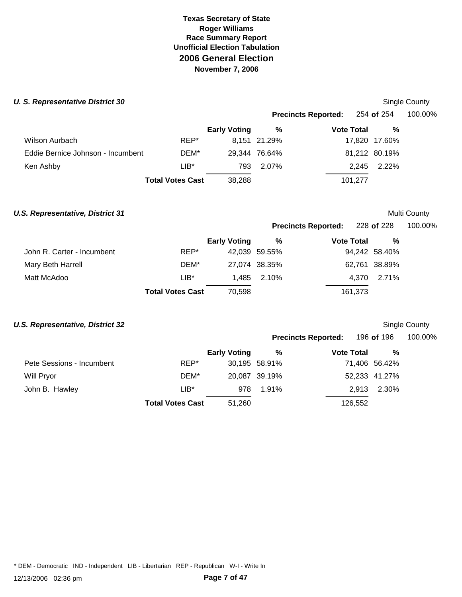#### **U. S. Representative District 30** Single County **County County County County County County County County County County County County County County County County County County County County County County County County Coun**

|                                   |                         |                     |               | <b>Precincts Reported:</b> | 254 <b>of</b> 254 | 100.00% |
|-----------------------------------|-------------------------|---------------------|---------------|----------------------------|-------------------|---------|
|                                   |                         | <b>Early Voting</b> | %             | <b>Vote Total</b>          | %                 |         |
| Wilson Aurbach                    | REP*                    |                     | 8,151 21.29%  |                            | 17,820 17.60%     |         |
| Eddie Bernice Johnson - Incumbent | DEM*                    |                     | 29,344 76.64% |                            | 81,212 80.19%     |         |
| Ken Ashby                         | $LIB*$                  | 793                 | 2.07%         |                            | 2.245 2.22%       |         |
|                                   | <b>Total Votes Cast</b> | 38,288              |               | 101,277                    |                   |         |
|                                   |                         |                     |               |                            |                   |         |

#### **U.S. Representative, District 31** and the set of the set of the set of the set of the Multi County

| 100.00%<br>228 of 228 |
|-----------------------|
|                       |

|                            |                         | <b>Early Voting</b> | %             | <b>Vote Total</b> | %             |  |
|----------------------------|-------------------------|---------------------|---------------|-------------------|---------------|--|
| John R. Carter - Incumbent | REP*                    |                     | 42,039 59.55% |                   | 94,242 58.40% |  |
| Mary Beth Harrell          | DEM*                    |                     | 27,074 38.35% |                   | 62,761 38.89% |  |
| Matt McAdoo                | $LIB*$                  |                     | 1.485 2.10%   |                   | 4.370 2.71%   |  |
|                            | <b>Total Votes Cast</b> | 70,598              |               | 161,373           |               |  |

## **U.S. Representative. District 32** Single County

|                           |                         |                     |               | "                          |                |         |
|---------------------------|-------------------------|---------------------|---------------|----------------------------|----------------|---------|
|                           |                         |                     |               | <b>Precincts Reported:</b> | 196 of 196     | 100.00% |
|                           |                         | <b>Early Voting</b> | %             | <b>Vote Total</b>          | %              |         |
| Pete Sessions - Incumbent | REP*                    |                     | 30,195 58.91% |                            | 71,406 56.42%  |         |
| Will Pryor                | DEM*                    |                     | 20,087 39.19% |                            | 52,233 41.27%  |         |
| John B. Hawley            | $LIB*$                  | 978                 | 1.91%         |                            | 2.30%<br>2.913 |         |
|                           | <b>Total Votes Cast</b> | 51,260              |               | 126.552                    |                |         |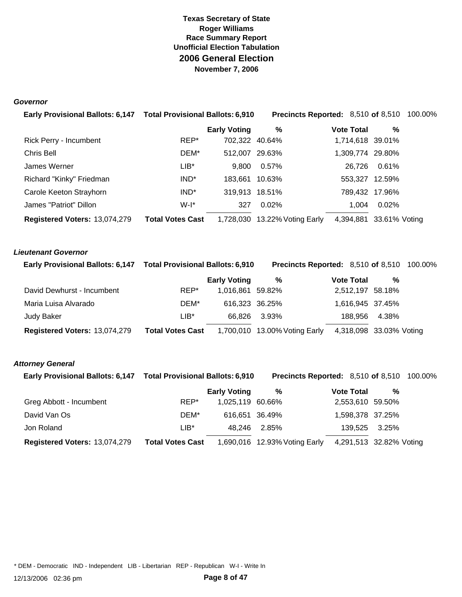#### *Governor*

| Early Provisional Ballots: 6,147 Total Provisional Ballots: 6,910 |                         |                     | <b>Precincts Reported:</b> 8,510 of 8,510 100.00% |                   |                |  |
|-------------------------------------------------------------------|-------------------------|---------------------|---------------------------------------------------|-------------------|----------------|--|
|                                                                   |                         | <b>Early Voting</b> | %                                                 | <b>Vote Total</b> | %              |  |
| Rick Perry - Incumbent                                            | REP*                    | 702,322 40.64%      |                                                   | 1,714,618 39.01%  |                |  |
| Chris Bell                                                        | DEM*                    | 512,007 29.63%      |                                                   | 1,309,774 29.80%  |                |  |
| James Werner                                                      | $LIB^*$                 | 9,800               | 0.57%                                             | 26.726            | 0.61%          |  |
| Richard "Kinky" Friedman                                          | IND <sup>*</sup>        | 183,661 10.63%      |                                                   |                   | 553,327 12.59% |  |
| Carole Keeton Strayhorn                                           | IND <sup>*</sup>        | 319,913 18.51%      |                                                   |                   | 789,432 17.96% |  |
| James "Patriot" Dillon                                            | $W-I^*$                 | 327                 | $0.02\%$                                          | 1.004             | 0.02%          |  |
| Registered Voters: 13,074,279                                     | <b>Total Votes Cast</b> |                     | 1,728,030 13.22% Voting Early                     | 4,394,881         | 33.61% Voting  |  |

#### *Lieutenant Governor*

| Early Provisional Ballots: 6,147 Total Provisional Ballots: 6,910 |                         |                     | <b>Precincts Reported: 8,510 of 8,510 100.00%</b> |                         |       |  |
|-------------------------------------------------------------------|-------------------------|---------------------|---------------------------------------------------|-------------------------|-------|--|
|                                                                   |                         | <b>Early Voting</b> | %                                                 | <b>Vote Total</b>       | %     |  |
| David Dewhurst - Incumbent                                        | REP*                    | 1.016.861 59.82%    |                                                   | 2,512,197 58.18%        |       |  |
| Maria Luisa Alvarado                                              | DEM*                    | 616,323 36.25%      |                                                   | 1,616,945 37.45%        |       |  |
| Judy Baker                                                        | $LIB*$                  | 66.826              | 3.93%                                             | 188.956                 | 4.38% |  |
| Registered Voters: 13,074,279                                     | <b>Total Votes Cast</b> |                     | 1,700,010 13.00% Voting Early                     | 4,318,098 33.03% Voting |       |  |

#### *Attorney General*

| Early Provisional Ballots: 6,147 Total Provisional Ballots: 6,910 |                         |                     | <b>Precincts Reported:</b> 8,510 of 8,510 100.00% |                   |                         |  |
|-------------------------------------------------------------------|-------------------------|---------------------|---------------------------------------------------|-------------------|-------------------------|--|
|                                                                   |                         | <b>Early Voting</b> | %                                                 | <b>Vote Total</b> | %                       |  |
| Greg Abbott - Incumbent                                           | REP*                    | 1,025,119 60.66%    |                                                   | 2,553,610 59.50%  |                         |  |
| David Van Os                                                      | DEM*                    | 616.651 36.49%      |                                                   | 1,598,378 37.25%  |                         |  |
| Jon Roland                                                        | LIB*                    | 48.246              | 2.85%                                             |                   | 139,525 3.25%           |  |
| Registered Voters: 13,074,279                                     | <b>Total Votes Cast</b> |                     | 1,690,016 12.93% Voting Early                     |                   | 4,291,513 32.82% Voting |  |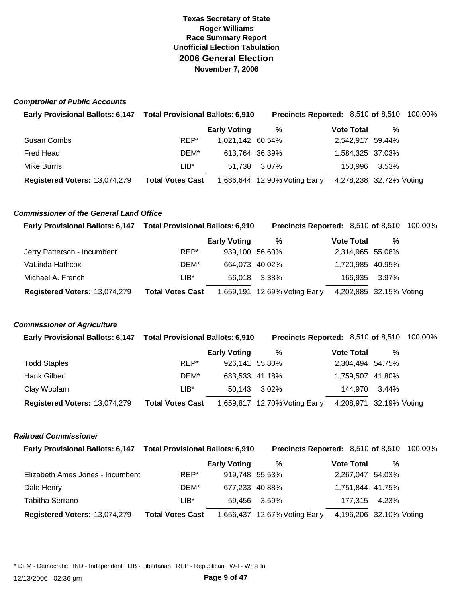#### *Comptroller of Public Accounts*

| Early Provisional Ballots: 6,147 Total Provisional Ballots: 6,910 |                         |                     | <b>Precincts Reported: 8,510 of 8,510 100.00%</b> |                         |       |  |
|-------------------------------------------------------------------|-------------------------|---------------------|---------------------------------------------------|-------------------------|-------|--|
|                                                                   |                         | <b>Early Voting</b> | %                                                 | <b>Vote Total</b>       | %     |  |
| Susan Combs                                                       | REP*                    | 1,021,142 60.54%    |                                                   | 2,542,917 59.44%        |       |  |
| Fred Head                                                         | DEM*                    | 613.764 36.39%      |                                                   | 1,584,325 37.03%        |       |  |
| Mike Burris                                                       | $LIB*$                  | 51.738              | 3.07%                                             | 150.996                 | 3.53% |  |
| Registered Voters: 13,074,279                                     | <b>Total Votes Cast</b> |                     | 1,686,644 12.90% Voting Early                     | 4,278,238 32.72% Voting |       |  |

#### *Commissioner of the General Land Office*

| Early Provisional Ballots: 6,147 Total Provisional Ballots: 6,910 |                         |                     | <b>Precincts Reported: 8,510 of 8,510 100.00%</b> |                         |       |  |
|-------------------------------------------------------------------|-------------------------|---------------------|---------------------------------------------------|-------------------------|-------|--|
|                                                                   |                         | <b>Early Voting</b> | %                                                 | <b>Vote Total</b>       | %     |  |
| Jerry Patterson - Incumbent                                       | REP*                    | 939,100 56.60%      |                                                   | 2,314,965 55.08%        |       |  |
| VaLinda Hathcox                                                   | DEM*                    | 664,073 40.02%      |                                                   | 1,720,985 40.95%        |       |  |
| Michael A. French                                                 | LIB*                    | 56.018              | 3.38%                                             | 166,935                 | 3.97% |  |
| Registered Voters: 13,074,279                                     | <b>Total Votes Cast</b> |                     | 1,659,191 12.69% Voting Early                     | 4,202,885 32.15% Voting |       |  |

#### *Commissioner of Agriculture*

| Early Provisional Ballots: 6,147 Total Provisional Ballots: 6,910 |                         |                     | <b>Precincts Reported: 8,510 of 8,510 100.00%</b> |                   |                         |  |
|-------------------------------------------------------------------|-------------------------|---------------------|---------------------------------------------------|-------------------|-------------------------|--|
|                                                                   |                         | <b>Early Voting</b> | %                                                 | <b>Vote Total</b> | %                       |  |
| <b>Todd Staples</b>                                               | REP*                    | 926,141 55.80%      |                                                   | 2,304,494 54.75%  |                         |  |
| <b>Hank Gilbert</b>                                               | DEM*                    | 683,533 41.18%      |                                                   | 1,759,507 41.80%  |                         |  |
| Clay Woolam                                                       | $LIB*$                  | 50.143              | 3.02%                                             | 144.970           | 3.44%                   |  |
| Registered Voters: 13,074,279                                     | <b>Total Votes Cast</b> |                     | 1,659,817 12.70% Voting Early                     |                   | 4,208,971 32.19% Voting |  |

#### *Railroad Commissioner*

| Early Provisional Ballots: 6,147 Total Provisional Ballots: 6,910 |                         |                     | <b>Precincts Reported: 8,510 of 8,510 100.00%</b> |                         |               |  |
|-------------------------------------------------------------------|-------------------------|---------------------|---------------------------------------------------|-------------------------|---------------|--|
|                                                                   |                         | <b>Early Voting</b> | %                                                 | <b>Vote Total</b>       | %             |  |
| Elizabeth Ames Jones - Incumbent                                  | REP*                    | 919,748 55.53%      |                                                   | 2,267,047 54.03%        |               |  |
| Dale Henry                                                        | DEM*                    | 677.233 40.88%      |                                                   | 1,751,844 41.75%        |               |  |
| Tabitha Serrano                                                   | $LIB*$                  | 59.456              | 3.59%                                             |                         | 177.315 4.23% |  |
| Registered Voters: 13,074,279                                     | <b>Total Votes Cast</b> |                     | 1,656,437 12.67% Voting Early                     | 4,196,206 32.10% Voting |               |  |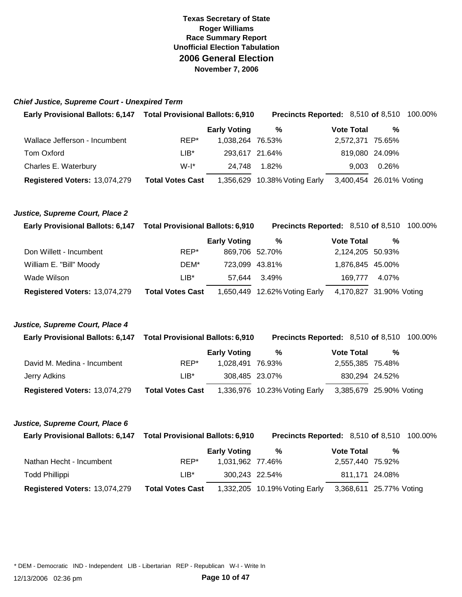#### *Chief Justice, Supreme Court - Unexpired Term*

| <b>Early Provisional Ballots: 6,147</b> | <b>Total Provisional Ballots: 6,910</b> |                     | <b>Precincts Reported:</b> 8,510 of 8,510 100.00% |                         |                |  |
|-----------------------------------------|-----------------------------------------|---------------------|---------------------------------------------------|-------------------------|----------------|--|
|                                         |                                         | <b>Early Voting</b> | %                                                 | <b>Vote Total</b>       | %              |  |
| Wallace Jefferson - Incumbent           | REP*                                    | 1.038.264 76.53%    |                                                   | 2,572,371 75.65%        |                |  |
| Tom Oxford                              | LIB*                                    | 293,617 21.64%      |                                                   |                         | 819,080 24.09% |  |
| Charles E. Waterbury                    | $W-I^*$                                 | 24.748              | 1.82%                                             | 9.003                   | 0.26%          |  |
| Registered Voters: 13,074,279           | <b>Total Votes Cast</b>                 |                     | 1,356,629 10.38% Voting Early                     | 3,400,454 26.01% Voting |                |  |

#### *Justice, Supreme Court, Place 2*

| Early Provisional Ballots: 6,147 Total Provisional Ballots: 6,910 |                         |                     | <b>Precincts Reported: 8,510 of 8,510 100.00%</b> |                         |       |  |
|-------------------------------------------------------------------|-------------------------|---------------------|---------------------------------------------------|-------------------------|-------|--|
|                                                                   |                         | <b>Early Voting</b> | %                                                 | <b>Vote Total</b>       | %     |  |
| Don Willett - Incumbent                                           | REP*                    | 869,706 52.70%      |                                                   | 2,124,205 50.93%        |       |  |
| William E. "Bill" Moody                                           | DEM*                    | 723.099 43.81%      |                                                   | 1,876,845 45.00%        |       |  |
| Wade Wilson                                                       | $LIB*$                  | 57.644              | 3.49%                                             | 169.777                 | 4.07% |  |
| Registered Voters: 13,074,279                                     | <b>Total Votes Cast</b> |                     | 1,650,449 12.62% Voting Early                     | 4,170,827 31.90% Voting |       |  |

#### *Justice, Supreme Court, Place 4*

| <b>Early Provisional Ballots: 6,147</b> | <b>Total Provisional Ballots: 6,910</b> |                     | <b>Precincts Reported: 8,510 of 8,510 100.00%</b> |                         |                |  |
|-----------------------------------------|-----------------------------------------|---------------------|---------------------------------------------------|-------------------------|----------------|--|
|                                         |                                         | <b>Early Voting</b> | %                                                 | <b>Vote Total</b>       | %              |  |
| David M. Medina - Incumbent             | REP*                                    | 1.028.491 76.93%    |                                                   | 2,555,385 75.48%        |                |  |
| Jerry Adkins                            | LIB*                                    | 308,485 23.07%      |                                                   |                         | 830,294 24.52% |  |
| Registered Voters: 13,074,279           | <b>Total Votes Cast</b>                 |                     | 1,336,976 10.23% Voting Early                     | 3,385,679 25.90% Voting |                |  |

#### *Justice, Supreme Court, Place 6*

| <b>Early Provisional Ballots: 6,147</b> | <b>Total Provisional Ballots: 6,910</b> |                     | <b>Precincts Reported: 8,510 of 8,510 100.00%</b> |                   |                         |  |
|-----------------------------------------|-----------------------------------------|---------------------|---------------------------------------------------|-------------------|-------------------------|--|
|                                         |                                         | <b>Early Voting</b> | %                                                 | <b>Vote Total</b> | %                       |  |
| Nathan Hecht - Incumbent                | REP*                                    | 1,031,962 77.46%    |                                                   |                   | 2,557,440 75.92%        |  |
| <b>Todd Phillippi</b>                   | LIB*                                    | 300.243 22.54%      |                                                   |                   | 811,171 24.08%          |  |
| Registered Voters: 13,074,279           | <b>Total Votes Cast</b>                 |                     | 1,332,205 10.19% Voting Early                     |                   | 3,368,611 25.77% Voting |  |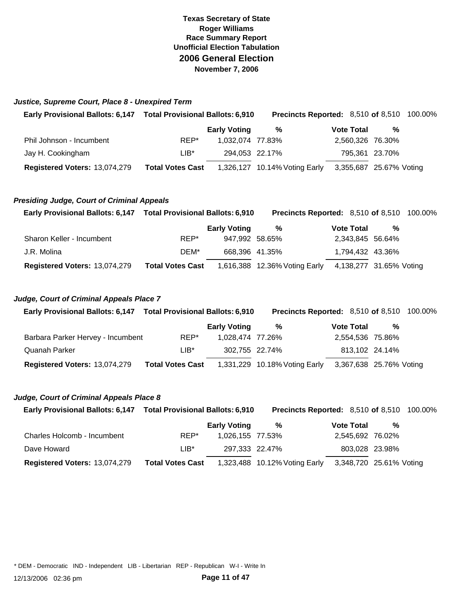#### *Justice, Supreme Court, Place 8 - Unexpired Term*

| Early Provisional Ballots: 6,147 Total Provisional Ballots: 6,910 |                         |                     | <b>Precincts Reported: 8,510 of 8,510 100.00%</b> |  |                   |                         |  |
|-------------------------------------------------------------------|-------------------------|---------------------|---------------------------------------------------|--|-------------------|-------------------------|--|
|                                                                   |                         | <b>Early Voting</b> | %                                                 |  | <b>Vote Total</b> | %                       |  |
| Phil Johnson - Incumbent                                          | REP*                    | 1.032.074 77.83%    |                                                   |  |                   | 2,560,326 76.30%        |  |
| Jay H. Cookingham                                                 | $LIB*$                  | 294,053 22.17%      |                                                   |  |                   | 795,361 23.70%          |  |
| Registered Voters: 13,074,279                                     | <b>Total Votes Cast</b> |                     | 1,326,127 10.14% Voting Early                     |  |                   | 3,355,687 25.67% Voting |  |

#### *Presiding Judge, Court of Criminal Appeals*

| Early Provisional Ballots: 6,147 Total Provisional Ballots: 6,910 |                         |                     | <b>Precincts Reported: 8,510 of 8,510 100.00%</b> |  |                   |                         |  |
|-------------------------------------------------------------------|-------------------------|---------------------|---------------------------------------------------|--|-------------------|-------------------------|--|
|                                                                   |                         | <b>Early Voting</b> | %                                                 |  | <b>Vote Total</b> | %                       |  |
| Sharon Keller - Incumbent                                         | REP*                    | 947,992 58.65%      |                                                   |  |                   | 2,343,845 56.64%        |  |
| J.R. Molina                                                       | DEM*                    | 668,396 41.35%      |                                                   |  |                   | 1,794,432 43.36%        |  |
| Registered Voters: 13,074,279                                     | <b>Total Votes Cast</b> |                     | 1,616,388 12.36% Voting Early                     |  |                   | 4,138,277 31.65% Voting |  |

#### *Judge, Court of Criminal Appeals Place 7*

| Early Provisional Ballots: 6,147 Total Provisional Ballots: 6,910 |                         |                     | <b>Precincts Reported: 8,510 of 8,510 100.00%</b> |                   |                         |  |
|-------------------------------------------------------------------|-------------------------|---------------------|---------------------------------------------------|-------------------|-------------------------|--|
|                                                                   |                         | <b>Early Voting</b> | %                                                 | <b>Vote Total</b> | %                       |  |
| Barbara Parker Hervey - Incumbent                                 | REP*                    | 1.028.474 77.26%    |                                                   |                   | 2,554,536 75.86%        |  |
| Quanah Parker                                                     | $LIB*$                  | 302,755 22.74%      |                                                   |                   | 813,102 24.14%          |  |
| Registered Voters: 13,074,279                                     | <b>Total Votes Cast</b> |                     | 1,331,229 10.18% Voting Early                     |                   | 3,367,638 25.76% Voting |  |

#### *Judge, Court of Criminal Appeals Place 8*

| Early Provisional Ballots: 6,147 Total Provisional Ballots: 6,910 |                         |                     | <b>Precincts Reported: 8,510 of 8,510 100.00%</b> |                   |  |                         |  |
|-------------------------------------------------------------------|-------------------------|---------------------|---------------------------------------------------|-------------------|--|-------------------------|--|
|                                                                   |                         | <b>Early Voting</b> | %                                                 | <b>Vote Total</b> |  | %                       |  |
| Charles Holcomb - Incumbent                                       | REP*                    | 1.026.155 77.53%    |                                                   |                   |  | 2,545,692 76.02%        |  |
| Dave Howard                                                       | $LIB^*$                 | 297,333 22.47%      |                                                   |                   |  | 803,028 23.98%          |  |
| Registered Voters: 13,074,279                                     | <b>Total Votes Cast</b> |                     | 1,323,488 10.12% Voting Early                     |                   |  | 3,348,720 25.61% Voting |  |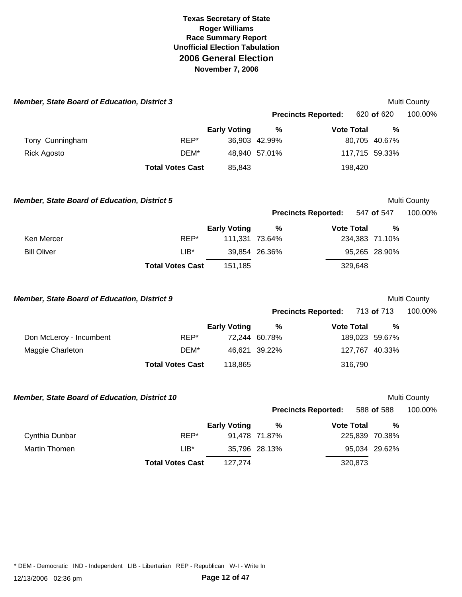| <b>Member, State Board of Education, District 3</b> |                         |                     |               |                            |                | Multi County |
|-----------------------------------------------------|-------------------------|---------------------|---------------|----------------------------|----------------|--------------|
|                                                     |                         |                     |               | <b>Precincts Reported:</b> | 620 of 620     | 100.00%      |
|                                                     |                         | <b>Early Voting</b> | $\frac{0}{0}$ | <b>Vote Total</b>          | $\frac{0}{0}$  |              |
| Tony Cunningham                                     | REP*                    |                     | 36,903 42.99% |                            | 80,705 40.67%  |              |
| <b>Rick Agosto</b>                                  | DEM*                    |                     | 48,940 57.01% |                            | 117,715 59.33% |              |
|                                                     | <b>Total Votes Cast</b> | 85,843              |               | 198,420                    |                |              |
| <b>Member, State Board of Education, District 5</b> |                         |                     |               |                            |                | Multi County |
|                                                     |                         |                     |               | <b>Precincts Reported:</b> | 547 of 547     | 100.00%      |
|                                                     |                         | <b>Early Voting</b> | $\%$          | <b>Vote Total</b>          | %              |              |
| Ken Mercer                                          | REP*                    | 111,331 73.64%      |               |                            | 234,383 71.10% |              |
| <b>Bill Oliver</b>                                  | $LIB^*$                 |                     | 39,854 26.36% |                            | 95,265 28.90%  |              |
|                                                     | <b>Total Votes Cast</b> | 151,185             |               | 329,648                    |                |              |
| Member, State Board of Education, District 9        |                         |                     |               |                            |                | Multi County |
|                                                     |                         |                     |               | <b>Precincts Reported:</b> | 713 of 713     | 100.00%      |
|                                                     |                         | <b>Early Voting</b> | %             | <b>Vote Total</b>          | %              |              |
| Don McLeroy - Incumbent                             | REP*                    |                     | 72,244 60.78% |                            | 189,023 59.67% |              |
| Maggie Charleton                                    | DEM*                    |                     | 46,621 39.22% |                            | 127,767 40.33% |              |
|                                                     | <b>Total Votes Cast</b> | 118,865             |               | 316,790                    |                |              |
| Member, State Board of Education, District 10       |                         |                     |               |                            |                | Multi County |
|                                                     |                         |                     |               | <b>Precincts Reported:</b> | 588 of 588     | 100.00%      |
|                                                     |                         | <b>Early Voting</b> | $\%$          | <b>Vote Total</b>          | %              |              |
| Cynthia Dunbar                                      | REP*                    |                     | 91,478 71.87% |                            | 225,839 70.38% |              |
| Martin Thomen                                       | $LIB^*$                 |                     | 35,796 28.13% |                            | 95,034 29.62%  |              |
|                                                     | <b>Total Votes Cast</b> | 127,274             |               | 320,873                    |                |              |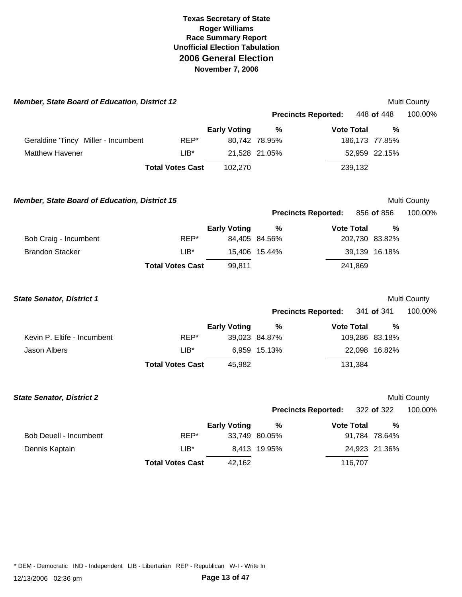| Member, State Board of Education, District 12        |                         |                     |               |                            |         |                | Multi County |
|------------------------------------------------------|-------------------------|---------------------|---------------|----------------------------|---------|----------------|--------------|
|                                                      |                         |                     |               | <b>Precincts Reported:</b> |         | 448 of 448     | 100.00%      |
|                                                      |                         | <b>Early Voting</b> | %             | <b>Vote Total</b>          |         | $\frac{0}{0}$  |              |
| Geraldine 'Tincy' Miller - Incumbent                 | REP*                    |                     | 80,742 78.95% |                            |         | 186,173 77.85% |              |
| <b>Matthew Havener</b>                               | $LIB*$                  |                     | 21,528 21.05% |                            |         | 52,959 22.15%  |              |
|                                                      | <b>Total Votes Cast</b> | 102,270             |               |                            | 239,132 |                |              |
| <b>Member, State Board of Education, District 15</b> |                         |                     |               |                            |         |                | Multi County |
|                                                      |                         |                     |               | <b>Precincts Reported:</b> |         | 856 of 856     | 100.00%      |
|                                                      |                         | <b>Early Voting</b> | $\%$          | <b>Vote Total</b>          |         | $\frac{0}{0}$  |              |
| Bob Craig - Incumbent                                | REP*                    |                     | 84,405 84.56% |                            |         | 202,730 83.82% |              |
| <b>Brandon Stacker</b>                               | $LIB*$                  |                     | 15,406 15.44% |                            |         | 39,139 16.18%  |              |
|                                                      | <b>Total Votes Cast</b> | 99,811              |               |                            | 241,869 |                |              |
| <b>State Senator, District 1</b>                     |                         |                     |               |                            |         |                | Multi County |
|                                                      |                         |                     |               | <b>Precincts Reported:</b> |         | 341 of 341     | 100.00%      |
|                                                      |                         | <b>Early Voting</b> | $\%$          | <b>Vote Total</b>          |         | $\%$           |              |
| Kevin P. Eltife - Incumbent                          | REP*                    |                     | 39,023 84.87% |                            |         | 109,286 83.18% |              |
| <b>Jason Albers</b>                                  | $LIB^*$                 |                     | 6,959 15.13%  |                            |         | 22,098 16.82%  |              |
|                                                      | <b>Total Votes Cast</b> | 45,982              |               |                            | 131,384 |                |              |
| <b>State Senator, District 2</b>                     |                         |                     |               |                            |         |                | Multi County |
|                                                      |                         |                     |               | <b>Precincts Reported:</b> |         | 322 of 322     | 100.00%      |
|                                                      |                         | <b>Early Voting</b> | %             | <b>Vote Total</b>          |         | $\%$           |              |
| Bob Deuell - Incumbent                               | REP*                    |                     | 33,749 80.05% |                            |         | 91,784 78.64%  |              |
| Dennis Kaptain                                       | $LIB*$                  |                     | 8,413 19.95%  |                            |         | 24,923 21.36%  |              |
|                                                      | <b>Total Votes Cast</b> | 42,162              |               |                            | 116,707 |                |              |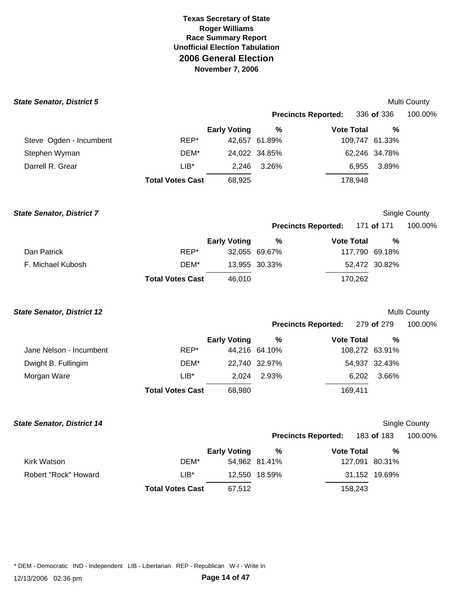| <b>State Senator, District 5</b>  |                         |                     |               |                            |                | Multi County         |
|-----------------------------------|-------------------------|---------------------|---------------|----------------------------|----------------|----------------------|
|                                   |                         |                     |               | <b>Precincts Reported:</b> | 336 of 336     | 100.00%              |
|                                   |                         | <b>Early Voting</b> | %             | <b>Vote Total</b>          | %              |                      |
| Steve Ogden - Incumbent           | REP*                    |                     | 42,657 61.89% |                            | 109,747 61.33% |                      |
| Stephen Wyman                     | DEM*                    |                     | 24,022 34.85% |                            | 62,246 34.78%  |                      |
| Darrell R. Grear                  | $LIB*$                  | 2,246               | 3.26%         | 6,955                      | 3.89%          |                      |
|                                   | <b>Total Votes Cast</b> | 68,925              |               | 178,948                    |                |                      |
| <b>State Senator, District 7</b>  |                         |                     |               |                            |                | Single County        |
|                                   |                         |                     |               | <b>Precincts Reported:</b> | 171 of 171     | 100.00%              |
|                                   |                         | <b>Early Voting</b> | %             | <b>Vote Total</b>          | %              |                      |
| Dan Patrick                       | REP*                    |                     | 32,055 69.67% |                            | 117,790 69.18% |                      |
| F. Michael Kubosh                 | DEM*                    |                     | 13,955 30.33% |                            | 52,472 30.82%  |                      |
|                                   | <b>Total Votes Cast</b> | 46,010              |               | 170,262                    |                |                      |
| <b>State Senator, District 12</b> |                         |                     |               |                            |                | Multi County         |
|                                   |                         |                     |               | <b>Precincts Reported:</b> | 279 of 279     | 100.00%              |
|                                   |                         | <b>Early Voting</b> | %             | <b>Vote Total</b>          | $\frac{0}{0}$  |                      |
| Jane Nelson - Incumbent           | REP*                    |                     | 44,216 64.10% |                            | 108,272 63.91% |                      |
| Dwight B. Fullingim               | DEM*                    |                     | 22,740 32.97% |                            | 54,937 32.43%  |                      |
| Morgan Ware                       | $LIB*$                  | 2,024               | 2.93%         | 6,202                      | 3.66%          |                      |
|                                   | <b>Total Votes Cast</b> | 68,980              |               | 169,411                    |                |                      |
| <b>State Senator, District 14</b> |                         |                     |               |                            |                | <b>Single County</b> |
|                                   |                         |                     |               | <b>Precincts Reported:</b> | 183 of 183     | 100.00%              |
|                                   |                         | <b>Early Voting</b> | %             | <b>Vote Total</b>          | $\%$           |                      |
| Kirk Watson                       | DEM*                    |                     | 54,962 81.41% |                            | 127,091 80.31% |                      |
| Robert "Rock" Howard              | $LIB^*$                 |                     | 12,550 18.59% |                            | 31,152 19.69%  |                      |
|                                   | <b>Total Votes Cast</b> | 67,512              |               | 158,243                    |                |                      |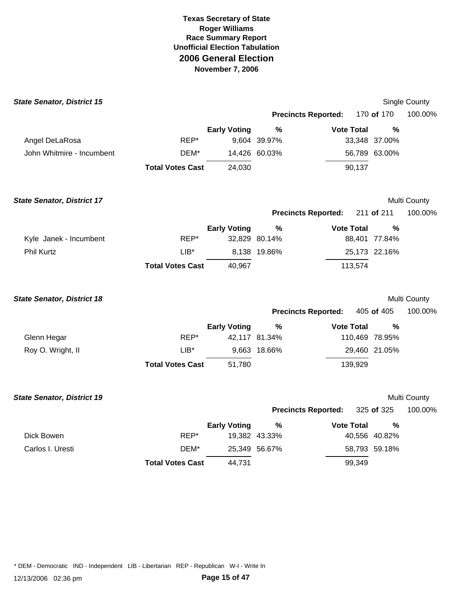| <b>State Senator, District 15</b> |                         |                     |                            |                   |                | Single County |
|-----------------------------------|-------------------------|---------------------|----------------------------|-------------------|----------------|---------------|
|                                   |                         |                     | <b>Precincts Reported:</b> |                   | 170 of 170     | 100.00%       |
|                                   |                         | <b>Early Voting</b> | $\%$                       | <b>Vote Total</b> | $\frac{0}{0}$  |               |
| Angel DeLaRosa                    | REP*                    |                     | 9,604 39.97%               |                   | 33,348 37.00%  |               |
| John Whitmire - Incumbent         | DEM*                    |                     | 14,426 60.03%              |                   | 56,789 63.00%  |               |
|                                   | <b>Total Votes Cast</b> | 24,030              |                            | 90,137            |                |               |
| <b>State Senator, District 17</b> |                         |                     |                            |                   |                | Multi County  |
|                                   |                         |                     | <b>Precincts Reported:</b> |                   | 211 of 211     | 100.00%       |
|                                   |                         | <b>Early Voting</b> | $\frac{0}{0}$              | <b>Vote Total</b> | $\%$           |               |
| Kyle Janek - Incumbent            | REP*                    |                     | 32,829 80.14%              |                   | 88,401 77.84%  |               |
| Phil Kurtz                        | $LIB*$                  |                     | 8,138 19.86%               |                   | 25,173 22.16%  |               |
|                                   | <b>Total Votes Cast</b> | 40,967              |                            | 113,574           |                |               |
| <b>State Senator, District 18</b> |                         |                     |                            |                   |                | Multi County  |
|                                   |                         |                     | <b>Precincts Reported:</b> |                   | 405 of 405     | 100.00%       |
|                                   |                         | <b>Early Voting</b> | %                          | <b>Vote Total</b> | $\%$           |               |
| Glenn Hegar                       | REP*                    |                     | 42,117 81.34%              |                   | 110,469 78.95% |               |
| Roy O. Wright, II                 | $LIB*$                  |                     | 9,663 18.66%               |                   | 29,460 21.05%  |               |
|                                   | <b>Total Votes Cast</b> | 51,780              |                            | 139,929           |                |               |
| <b>State Senator, District 19</b> |                         |                     |                            |                   |                | Multi County  |
|                                   |                         |                     | <b>Precincts Reported:</b> |                   | 325 of 325     | 100.00%       |
|                                   |                         | <b>Early Voting</b> | %                          | <b>Vote Total</b> | %              |               |
| Dick Bowen                        | REP*                    |                     | 19,382 43.33%              |                   | 40,556 40.82%  |               |
| Carlos I. Uresti                  | DEM*                    |                     | 25,349 56.67%              |                   | 58,793 59.18%  |               |
|                                   | <b>Total Votes Cast</b> | 44,731              |                            | 99,349            |                |               |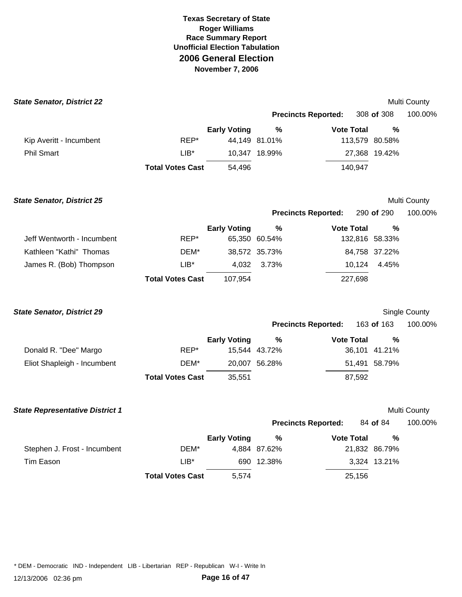| <b>State Senator, District 22</b>      |                         |                     |               |                            |                | Multi County  |
|----------------------------------------|-------------------------|---------------------|---------------|----------------------------|----------------|---------------|
|                                        |                         |                     |               | <b>Precincts Reported:</b> | 308 of 308     | 100.00%       |
|                                        |                         | <b>Early Voting</b> | $\%$          | <b>Vote Total</b>          | %              |               |
| Kip Averitt - Incumbent                | REP*                    |                     | 44,149 81.01% |                            | 113,579 80.58% |               |
| <b>Phil Smart</b>                      | $LIB*$                  |                     | 10,347 18.99% |                            | 27,368 19.42%  |               |
|                                        | <b>Total Votes Cast</b> | 54,496              |               | 140,947                    |                |               |
| <b>State Senator, District 25</b>      |                         |                     |               |                            |                | Multi County  |
|                                        |                         |                     |               | <b>Precincts Reported:</b> | 290 of 290     | 100.00%       |
|                                        |                         | <b>Early Voting</b> | $\%$          | <b>Vote Total</b>          | %              |               |
| Jeff Wentworth - Incumbent             | REP*                    |                     | 65,350 60.54% |                            | 132,816 58.33% |               |
| Kathleen "Kathi" Thomas                | DEM*                    |                     | 38,572 35.73% |                            | 84,758 37.22%  |               |
| James R. (Bob) Thompson                | $LIB*$                  | 4,032               | 3.73%         | 10,124                     | 4.45%          |               |
|                                        | <b>Total Votes Cast</b> | 107,954             |               | 227,698                    |                |               |
| <b>State Senator, District 29</b>      |                         |                     |               |                            |                | Single County |
|                                        |                         |                     |               | <b>Precincts Reported:</b> | 163 of 163     | 100.00%       |
|                                        |                         | <b>Early Voting</b> | $\%$          | <b>Vote Total</b>          | %              |               |
| Donald R. "Dee" Margo                  | REP*                    |                     | 15,544 43.72% |                            | 36,101 41.21%  |               |
| Eliot Shapleigh - Incumbent            | DEM*                    |                     | 20,007 56.28% |                            | 51,491 58.79%  |               |
|                                        | <b>Total Votes Cast</b> | 35,551              |               | 87,592                     |                |               |
| <b>State Representative District 1</b> |                         |                     |               |                            |                | Multi County  |
|                                        |                         |                     |               | <b>Precincts Reported:</b> | 84 of 84       | 100.00%       |
|                                        |                         | <b>Early Voting</b> | %             | <b>Vote Total</b>          | %              |               |
| Stephen J. Frost - Incumbent           | DEM*                    |                     | 4,884 87.62%  |                            | 21,832 86.79%  |               |
| <b>Tim Eason</b>                       | $LIB*$                  |                     | 690 12.38%    |                            | 3,324 13.21%   |               |
|                                        | <b>Total Votes Cast</b> | 5,574               |               | 25,156                     |                |               |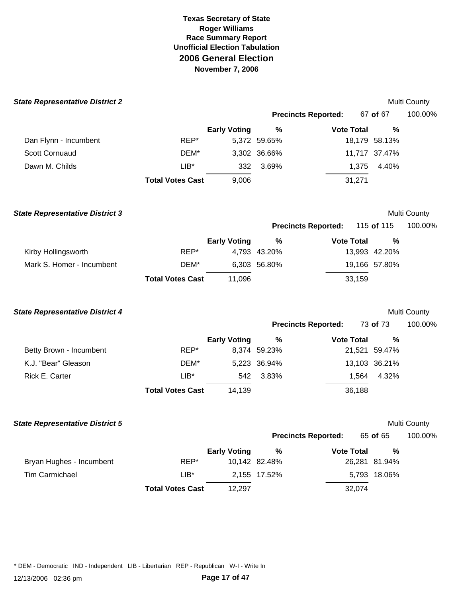| <b>State Representative District 2</b> |                         |                     |               |                            |               | Multi County |
|----------------------------------------|-------------------------|---------------------|---------------|----------------------------|---------------|--------------|
|                                        |                         |                     |               | <b>Precincts Reported:</b> | 67 of 67      | 100.00%      |
|                                        |                         | <b>Early Voting</b> | $\%$          | <b>Vote Total</b>          | %             |              |
| Dan Flynn - Incumbent                  | REP*                    |                     | 5,372 59.65%  |                            | 18,179 58.13% |              |
| <b>Scott Cornuaud</b>                  | DEM*                    |                     | 3,302 36.66%  |                            | 11,717 37.47% |              |
| Dawn M. Childs                         | $LIB^*$                 | 332                 | 3.69%         | 1,375                      | 4.40%         |              |
|                                        | <b>Total Votes Cast</b> | 9,006               |               | 31,271                     |               |              |
| <b>State Representative District 3</b> |                         |                     |               |                            |               | Multi County |
|                                        |                         |                     |               | <b>Precincts Reported:</b> | 115 of 115    | 100.00%      |
|                                        |                         | <b>Early Voting</b> | $\%$          | <b>Vote Total</b>          | %             |              |
| Kirby Hollingsworth                    | REP*                    |                     | 4,793 43.20%  |                            | 13,993 42.20% |              |
| Mark S. Homer - Incumbent              | DEM*                    |                     | 6,303 56.80%  |                            | 19,166 57.80% |              |
|                                        | <b>Total Votes Cast</b> | 11,096              |               | 33,159                     |               |              |
| <b>State Representative District 4</b> |                         |                     |               |                            |               | Multi County |
|                                        |                         |                     |               | <b>Precincts Reported:</b> | 73 of 73      | 100.00%      |
|                                        |                         | <b>Early Voting</b> | $\%$          | <b>Vote Total</b>          | %             |              |
| Betty Brown - Incumbent                | REP*                    |                     | 8,374 59.23%  |                            | 21,521 59.47% |              |
| K.J. "Bear" Gleason                    | DEM*                    |                     | 5,223 36.94%  |                            | 13,103 36.21% |              |
| Rick E. Carter                         | LIB*                    | 542                 | 3.83%         | 1,564                      | 4.32%         |              |
|                                        | <b>Total Votes Cast</b> | 14,139              |               | 36,188                     |               |              |
| <b>State Representative District 5</b> |                         |                     |               |                            |               | Multi County |
|                                        |                         |                     |               | <b>Precincts Reported:</b> | 65 of 65      | 100.00%      |
|                                        |                         | <b>Early Voting</b> | $\%$          | <b>Vote Total</b>          | %             |              |
| Bryan Hughes - Incumbent               | REP*                    |                     | 10,142 82.48% |                            | 26,281 81.94% |              |
| <b>Tim Carmichael</b>                  | $LIB*$                  |                     | 2,155 17.52%  |                            | 5,793 18.06%  |              |
|                                        | <b>Total Votes Cast</b> | 12,297              |               | 32,074                     |               |              |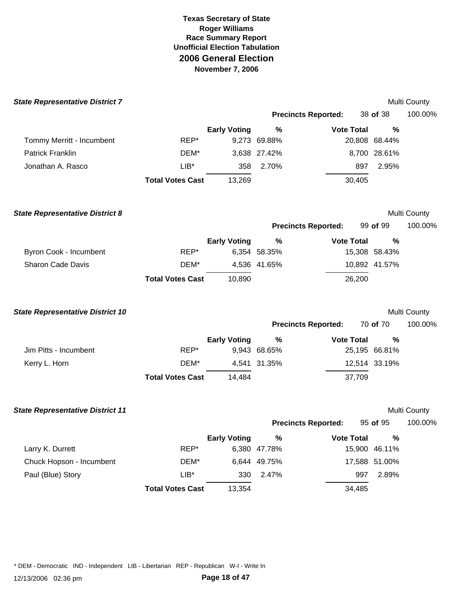| <b>State Representative District 7</b>  |                         |                     |                      |                            |                    | Multi County |
|-----------------------------------------|-------------------------|---------------------|----------------------|----------------------------|--------------------|--------------|
|                                         |                         |                     |                      | <b>Precincts Reported:</b> | 38 of 38           | 100.00%      |
|                                         |                         | <b>Early Voting</b> | $\%$                 | <b>Vote Total</b>          | %                  |              |
| Tommy Merritt - Incumbent               | REP*                    |                     | 9,273 69.88%         |                            | 20,808 68.44%      |              |
| <b>Patrick Franklin</b>                 | DEM*                    |                     | 3,638 27.42%         |                            | 8,700 28.61%       |              |
| Jonathan A. Rasco                       | $LIB*$                  | 358                 | 2.70%                | 897                        | 2.95%              |              |
|                                         | <b>Total Votes Cast</b> | 13,269              |                      | 30,405                     |                    |              |
| <b>State Representative District 8</b>  |                         |                     |                      |                            |                    | Multi County |
|                                         |                         |                     |                      | <b>Precincts Reported:</b> | 99 of 99           | 100.00%      |
|                                         |                         | <b>Early Voting</b> | %                    | <b>Vote Total</b>          | %                  |              |
| Byron Cook - Incumbent                  | REP*                    |                     | 6,354 58.35%         |                            | 15,308 58.43%      |              |
| <b>Sharon Cade Davis</b>                | DEM*                    |                     | 4,536 41.65%         |                            | 10,892 41.57%      |              |
|                                         | <b>Total Votes Cast</b> | 10,890              |                      | 26,200                     |                    |              |
| <b>State Representative District 10</b> |                         |                     |                      |                            |                    | Multi County |
|                                         |                         |                     |                      | <b>Precincts Reported:</b> | 70 of 70           | 100.00%      |
|                                         |                         | <b>Early Voting</b> | $\%$                 | <b>Vote Total</b>          | %                  |              |
| Jim Pitts - Incumbent                   | REP*                    |                     | 9,943 68.65%         |                            | 25,195 66.81%      |              |
| Kerry L. Horn                           | DEM*                    |                     | 4,541 31.35%         |                            | 12,514 33.19%      |              |
|                                         | <b>Total Votes Cast</b> | 14,484              |                      | 37,709                     |                    |              |
| <b>State Representative District 11</b> |                         |                     |                      |                            |                    | Multi County |
|                                         |                         |                     |                      | <b>Precincts Reported:</b> | 95 of 95           | 100.00%      |
| Larry K. Durrett                        | REP*                    | <b>Early Voting</b> | $\%$<br>6,380 47.78% | <b>Vote Total</b>          | %<br>15,900 46.11% |              |
| Chuck Hopson - Incumbent                | DEM*                    |                     | 6,644 49.75%         |                            | 17,588 51.00%      |              |
| Paul (Blue) Story                       | LIB*                    | 330                 | 2.47%                | 997                        | 2.89%              |              |
|                                         | <b>Total Votes Cast</b> | 13,354              |                      | 34,485                     |                    |              |
|                                         |                         |                     |                      |                            |                    |              |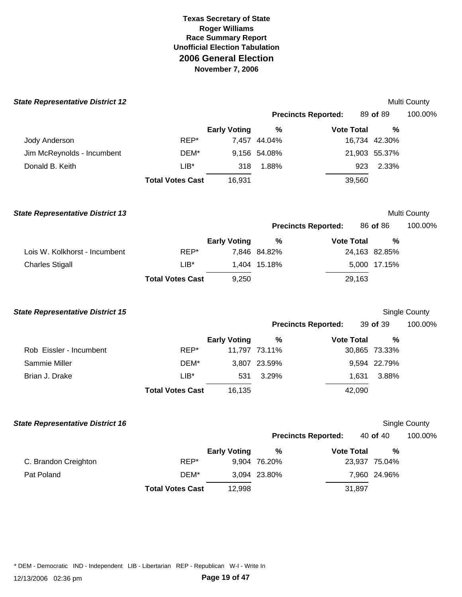| <b>State Representative District 12</b> |                         |                     |               |                            |               | Multi County         |
|-----------------------------------------|-------------------------|---------------------|---------------|----------------------------|---------------|----------------------|
|                                         |                         |                     |               | <b>Precincts Reported:</b> | 89 of 89      | 100.00%              |
|                                         |                         | <b>Early Voting</b> | %             | <b>Vote Total</b>          | %             |                      |
| Jody Anderson                           | REP*                    |                     | 7,457 44.04%  |                            | 16,734 42.30% |                      |
| Jim McReynolds - Incumbent              | DEM*                    |                     | 9,156 54.08%  |                            | 21,903 55.37% |                      |
| Donald B. Keith                         | $LIB*$                  | 318                 | 1.88%         | 923                        | 2.33%         |                      |
|                                         | <b>Total Votes Cast</b> | 16,931              |               | 39,560                     |               |                      |
| <b>State Representative District 13</b> |                         |                     |               |                            |               | Multi County         |
|                                         |                         |                     |               | <b>Precincts Reported:</b> | 86 of 86      | 100.00%              |
|                                         |                         | <b>Early Voting</b> | $\%$          | <b>Vote Total</b>          | $\frac{0}{0}$ |                      |
| Lois W. Kolkhorst - Incumbent           | REP*                    |                     | 7,846 84.82%  |                            | 24,163 82.85% |                      |
| <b>Charles Stigall</b>                  | $LIB*$                  |                     | 1,404 15.18%  |                            | 5,000 17.15%  |                      |
|                                         | <b>Total Votes Cast</b> | 9,250               |               | 29,163                     |               |                      |
| <b>State Representative District 15</b> |                         |                     |               |                            |               | Single County        |
|                                         |                         |                     |               | <b>Precincts Reported:</b> | 39 of 39      | 100.00%              |
|                                         |                         | <b>Early Voting</b> | $\%$          | <b>Vote Total</b>          | %             |                      |
| Rob Eissler - Incumbent                 | REP*                    |                     | 11,797 73.11% |                            | 30,865 73.33% |                      |
| Sammie Miller                           | DEM*                    |                     | 3,807 23.59%  |                            | 9,594 22.79%  |                      |
| Brian J. Drake                          | $LIB*$                  | 531                 | 3.29%         | 1,631                      | 3.88%         |                      |
|                                         | <b>Total Votes Cast</b> | 16,135              |               | 42,090                     |               |                      |
| <b>State Representative District 16</b> |                         |                     |               |                            |               | <b>Single County</b> |
|                                         |                         |                     |               | <b>Precincts Reported:</b> | 40 of 40      | 100.00%              |
|                                         |                         | <b>Early Voting</b> | $\%$          | <b>Vote Total</b>          | $\%$          |                      |
| C. Brandon Creighton                    | REP*                    |                     | 9,904 76.20%  |                            | 23,937 75.04% |                      |
| Pat Poland                              | DEM*                    |                     | 3,094 23.80%  |                            | 7,960 24.96%  |                      |
|                                         | <b>Total Votes Cast</b> | 12,998              |               | 31,897                     |               |                      |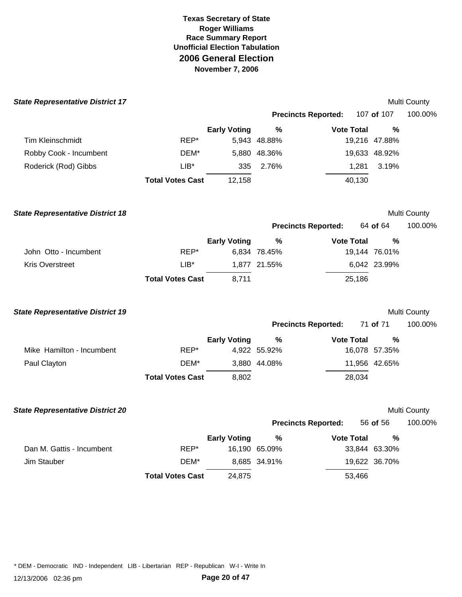| <b>State Representative District 17</b> |                         |                     |               |                            |               | Multi County |
|-----------------------------------------|-------------------------|---------------------|---------------|----------------------------|---------------|--------------|
|                                         |                         |                     |               | <b>Precincts Reported:</b> | 107 of 107    | 100.00%      |
|                                         |                         | <b>Early Voting</b> | %             | <b>Vote Total</b>          | %             |              |
| <b>Tim Kleinschmidt</b>                 | REP*                    |                     | 5,943 48.88%  |                            | 19,216 47.88% |              |
| Robby Cook - Incumbent                  | DEM*                    |                     | 5,880 48.36%  |                            | 19,633 48.92% |              |
| Roderick (Rod) Gibbs                    | $LIB*$                  | 335                 | 2.76%         | 1,281                      | 3.19%         |              |
|                                         | <b>Total Votes Cast</b> | 12,158              |               | 40,130                     |               |              |
| <b>State Representative District 18</b> |                         |                     |               |                            |               | Multi County |
|                                         |                         |                     |               | <b>Precincts Reported:</b> | 64 of 64      | 100.00%      |
|                                         |                         | <b>Early Voting</b> | $\%$          | <b>Vote Total</b>          | %             |              |
| John Otto - Incumbent                   | REP*                    |                     | 6,834 78.45%  |                            | 19,144 76.01% |              |
| Kris Overstreet                         | $LIB*$                  |                     | 1,877 21.55%  |                            | 6,042 23.99%  |              |
|                                         | <b>Total Votes Cast</b> | 8,711               |               | 25,186                     |               |              |
| <b>State Representative District 19</b> |                         |                     |               |                            |               | Multi County |
|                                         |                         |                     |               | <b>Precincts Reported:</b> | 71 of 71      | 100.00%      |
|                                         |                         | <b>Early Voting</b> | $\%$          | <b>Vote Total</b>          | %             |              |
| Mike Hamilton - Incumbent               | REP*                    |                     | 4,922 55.92%  |                            | 16,078 57.35% |              |
| Paul Clayton                            | DEM*                    |                     | 3,880 44.08%  |                            | 11,956 42.65% |              |
|                                         | <b>Total Votes Cast</b> | 8,802               |               | 28,034                     |               |              |
| <b>State Representative District 20</b> |                         |                     |               |                            |               | Multi County |
|                                         |                         |                     |               | <b>Precincts Reported:</b> | 56 of 56      | 100.00%      |
|                                         |                         | <b>Early Voting</b> | $\%$          | <b>Vote Total</b>          | %             |              |
| Dan M. Gattis - Incumbent               | REP*                    |                     | 16,190 65.09% |                            | 33,844 63.30% |              |
| Jim Stauber                             | DEM*                    |                     | 8,685 34.91%  |                            | 19,622 36.70% |              |
|                                         | <b>Total Votes Cast</b> | 24,875              |               | 53,466                     |               |              |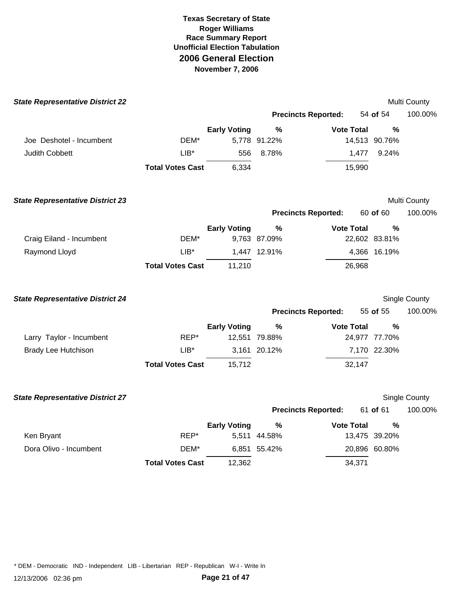| <b>State Representative District 22</b> |                         |                     |               |                            |                | Multi County  |
|-----------------------------------------|-------------------------|---------------------|---------------|----------------------------|----------------|---------------|
|                                         |                         |                     |               | <b>Precincts Reported:</b> | 54 of 54       | 100.00%       |
|                                         |                         | <b>Early Voting</b> | %             | <b>Vote Total</b>          | $\%$           |               |
| Joe Deshotel - Incumbent                | DEM*                    |                     | 5,778 91.22%  |                            | 14,513 90.76%  |               |
| Judith Cobbett                          | LIB*                    | 556                 | 8.78%         |                            | 1,477<br>9.24% |               |
|                                         | <b>Total Votes Cast</b> | 6,334               |               | 15,990                     |                |               |
| <b>State Representative District 23</b> |                         |                     |               |                            |                | Multi County  |
|                                         |                         |                     |               | <b>Precincts Reported:</b> | 60 of 60       | 100.00%       |
|                                         |                         | <b>Early Voting</b> | $\%$          | <b>Vote Total</b>          | $\frac{0}{0}$  |               |
| Craig Eiland - Incumbent                | DEM*                    |                     | 9,763 87.09%  |                            | 22,602 83.81%  |               |
| Raymond Lloyd                           | $LIB*$                  |                     | 1,447 12.91%  |                            | 4,366 16.19%   |               |
|                                         | <b>Total Votes Cast</b> | 11,210              |               | 26,968                     |                |               |
| <b>State Representative District 24</b> |                         |                     |               |                            |                | Single County |
|                                         |                         |                     |               | <b>Precincts Reported:</b> | 55 of 55       | 100.00%       |
|                                         |                         | <b>Early Voting</b> | $\%$          | <b>Vote Total</b>          | %              |               |
| Larry Taylor - Incumbent                | REP*                    |                     | 12,551 79.88% |                            | 24,977 77.70%  |               |
| <b>Brady Lee Hutchison</b>              | $LIB*$                  |                     | 3,161 20.12%  |                            | 7,170 22.30%   |               |
|                                         | <b>Total Votes Cast</b> | 15,712              |               | 32,147                     |                |               |
| <b>State Representative District 27</b> |                         |                     |               |                            |                | Single County |
|                                         |                         |                     |               | <b>Precincts Reported:</b> | 61 of 61       | 100.00%       |
|                                         |                         | <b>Early Voting</b> | %             | <b>Vote Total</b>          | %              |               |
| Ken Bryant                              | REP*                    | 5,511               | 44.58%        |                            | 13,475 39.20%  |               |
| Dora Olivo - Incumbent                  | DEM*                    |                     | 6,851 55.42%  |                            | 20,896 60.80%  |               |
|                                         | <b>Total Votes Cast</b> | 12,362              |               | 34,371                     |                |               |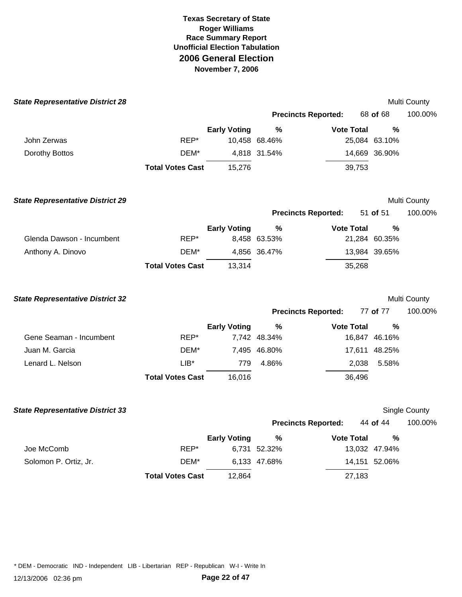| <b>State Representative District 28</b> |                         |                     |               |                            |               | Multi County  |
|-----------------------------------------|-------------------------|---------------------|---------------|----------------------------|---------------|---------------|
|                                         |                         |                     |               | <b>Precincts Reported:</b> | 68 of 68      | 100.00%       |
|                                         |                         | <b>Early Voting</b> | $\%$          | <b>Vote Total</b>          | %             |               |
| John Zerwas                             | REP*                    |                     | 10,458 68.46% |                            | 25,084 63.10% |               |
| Dorothy Bottos                          | DEM*                    |                     | 4,818 31.54%  |                            | 14,669 36.90% |               |
|                                         | <b>Total Votes Cast</b> | 15,276              |               | 39,753                     |               |               |
| <b>State Representative District 29</b> |                         |                     |               |                            |               | Multi County  |
|                                         |                         |                     |               | <b>Precincts Reported:</b> | 51 of 51      | 100.00%       |
|                                         |                         | <b>Early Voting</b> | $\%$          | <b>Vote Total</b>          | %             |               |
| Glenda Dawson - Incumbent               | REP*                    |                     | 8,458 63.53%  |                            | 21,284 60.35% |               |
| Anthony A. Dinovo                       | DEM*                    |                     | 4,856 36.47%  |                            | 13,984 39.65% |               |
|                                         | <b>Total Votes Cast</b> | 13,314              |               | 35,268                     |               |               |
| <b>State Representative District 32</b> |                         |                     |               |                            |               | Multi County  |
|                                         |                         |                     |               | <b>Precincts Reported:</b> | 77 of 77      | 100.00%       |
|                                         |                         | <b>Early Voting</b> | $\%$          | <b>Vote Total</b>          | %             |               |
| Gene Seaman - Incumbent                 | REP*                    |                     | 7,742 48.34%  |                            | 16,847 46.16% |               |
| Juan M. Garcia                          | DEM*                    |                     | 7,495 46.80%  |                            | 17,611 48.25% |               |
| Lenard L. Nelson                        | $LIB*$                  | 779                 | 4.86%         | 2,038                      | 5.58%         |               |
|                                         | <b>Total Votes Cast</b> | 16,016              |               | 36,496                     |               |               |
| <b>State Representative District 33</b> |                         |                     |               |                            |               | Single County |
|                                         |                         |                     |               | <b>Precincts Reported:</b> | 44 of 44      | 100.00%       |
|                                         |                         | <b>Early Voting</b> | $\%$          | <b>Vote Total</b>          | $\%$          |               |
| Joe McComb                              | REP*                    |                     | 6,731 52.32%  |                            | 13,032 47.94% |               |
| Solomon P. Ortiz, Jr.                   | DEM*                    |                     | 6,133 47.68%  |                            | 14,151 52.06% |               |
|                                         | <b>Total Votes Cast</b> | 12,864              |               | 27,183                     |               |               |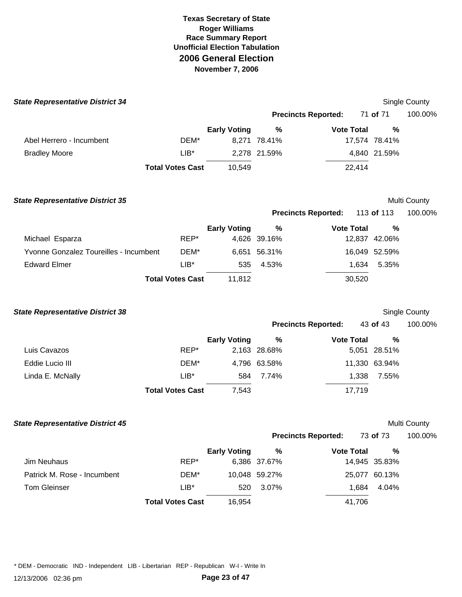| <b>Early Voting</b><br>10,549 | $\%$<br>8,271 78.41%<br>2,278 21.59%<br><b>Precincts Reported:</b> | <b>Precincts Reported:</b><br><b>Vote Total</b><br>22,414    | 71 of 71<br>%<br>17,574 78.41%<br>4,840 21.59% | 100.00%<br>Multi County                                                                                                                                     |
|-------------------------------|--------------------------------------------------------------------|--------------------------------------------------------------|------------------------------------------------|-------------------------------------------------------------------------------------------------------------------------------------------------------------|
|                               |                                                                    |                                                              |                                                |                                                                                                                                                             |
|                               |                                                                    |                                                              |                                                |                                                                                                                                                             |
|                               |                                                                    |                                                              |                                                |                                                                                                                                                             |
|                               |                                                                    |                                                              |                                                |                                                                                                                                                             |
|                               |                                                                    |                                                              |                                                |                                                                                                                                                             |
|                               |                                                                    |                                                              |                                                |                                                                                                                                                             |
|                               |                                                                    |                                                              | 113 of 113                                     | 100.00%                                                                                                                                                     |
|                               | %                                                                  |                                                              | $\frac{0}{0}$                                  |                                                                                                                                                             |
|                               |                                                                    |                                                              |                                                |                                                                                                                                                             |
|                               |                                                                    |                                                              |                                                |                                                                                                                                                             |
| 535                           | 4.53%                                                              |                                                              | 5.35%                                          |                                                                                                                                                             |
| 11,812                        |                                                                    |                                                              |                                                |                                                                                                                                                             |
|                               |                                                                    |                                                              |                                                | Single County                                                                                                                                               |
|                               |                                                                    |                                                              |                                                | 100.00%                                                                                                                                                     |
| <b>Early Voting</b>           | %                                                                  |                                                              | $\frac{0}{0}$                                  |                                                                                                                                                             |
|                               |                                                                    |                                                              |                                                |                                                                                                                                                             |
|                               |                                                                    |                                                              |                                                |                                                                                                                                                             |
| 584                           | 7.74%                                                              |                                                              | 7.55%                                          |                                                                                                                                                             |
| 7,543                         |                                                                    |                                                              |                                                |                                                                                                                                                             |
|                               | <b>Early Voting</b>                                                | 4,626 39.16%<br>6,651 56.31%<br>2,163 28.68%<br>4,796 63.58% | <b>Precincts Reported:</b>                     | <b>Vote Total</b><br>12,837 42.06%<br>16,049 52.59%<br>1,634<br>30,520<br>43 of 43<br><b>Vote Total</b><br>5,051 28.51%<br>11,330 63.94%<br>1,338<br>17,719 |

## **State Representative District 45 August County County County County County County County County County County County County County County County County County County County County County County County County County County**

|  | Multi County |  |
|--|--------------|--|
|--|--------------|--|

| <b>Precincts Reported:</b> |                   | 73 of 73      | 100.00% |
|----------------------------|-------------------|---------------|---------|
| %                          | <b>Vote Total</b> | %             |         |
| ነ7%                        |                   | 14,945 35.83% |         |

|                             |                         | <b>Early Voting</b> | %             | <b>Vote Total</b> | %             |
|-----------------------------|-------------------------|---------------------|---------------|-------------------|---------------|
| Jim Neuhaus                 | REP*                    |                     | 6,386 37.67%  |                   | 14,945 35.83% |
| Patrick M. Rose - Incumbent | DEM*                    |                     | 10,048 59.27% |                   | 25,077 60.13% |
| Tom Gleinser                | $LIB*$                  | 520                 | 3.07%         | 1.684             | 4.04%         |
|                             | <b>Total Votes Cast</b> | 16.954              |               | 41.706            |               |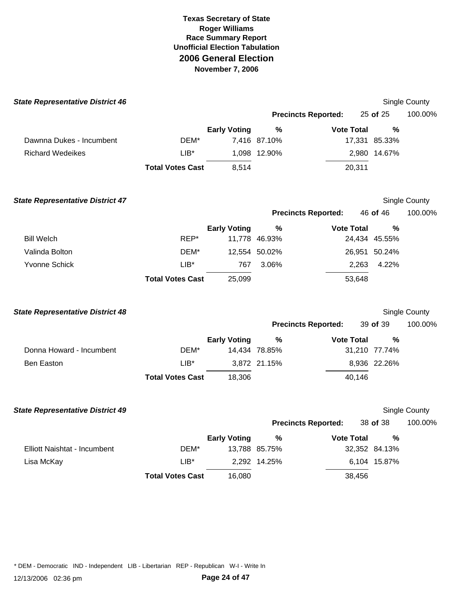| <b>State Representative District 46</b> |                         |                     |               |                            |                | <b>Single County</b> |
|-----------------------------------------|-------------------------|---------------------|---------------|----------------------------|----------------|----------------------|
|                                         |                         |                     |               | <b>Precincts Reported:</b> | 25 of 25       | 100.00%              |
|                                         |                         | <b>Early Voting</b> | %             | <b>Vote Total</b>          | %              |                      |
| Dawnna Dukes - Incumbent                | DEM*                    |                     | 7,416 87.10%  |                            | 17,331 85.33%  |                      |
| <b>Richard Wedeikes</b>                 | $LIB*$                  |                     | 1,098 12.90%  |                            | 2,980 14.67%   |                      |
|                                         | <b>Total Votes Cast</b> | 8,514               |               | 20,311                     |                |                      |
| <b>State Representative District 47</b> |                         |                     |               |                            |                | Single County        |
|                                         |                         |                     |               | <b>Precincts Reported:</b> | 46 of 46       | 100.00%              |
|                                         |                         | <b>Early Voting</b> | $\%$          | <b>Vote Total</b>          | %              |                      |
| <b>Bill Welch</b>                       | REP*                    |                     | 11,778 46.93% |                            | 24,434 45.55%  |                      |
| Valinda Bolton                          | DEM*                    |                     | 12,554 50.02% |                            | 26,951 50.24%  |                      |
| <b>Yvonne Schick</b>                    | $LIB*$                  | 767                 | 3.06%         |                            | 2,263<br>4.22% |                      |
|                                         | <b>Total Votes Cast</b> | 25,099              |               | 53,648                     |                |                      |
| <b>State Representative District 48</b> |                         |                     |               |                            |                | Single County        |
|                                         |                         |                     |               | <b>Precincts Reported:</b> | 39 of 39       | 100.00%              |
|                                         |                         | <b>Early Voting</b> | %             | <b>Vote Total</b>          | %              |                      |
| Donna Howard - Incumbent                | DEM*                    |                     | 14,434 78.85% |                            | 31,210 77.74%  |                      |
| <b>Ben Easton</b>                       | $LIB*$                  |                     | 3,872 21.15%  |                            | 8,936 22.26%   |                      |
|                                         | <b>Total Votes Cast</b> | 18,306              |               | 40,146                     |                |                      |
| <b>State Representative District 49</b> |                         |                     |               |                            |                | Single County        |
|                                         |                         |                     |               | <b>Precincts Reported:</b> | 38 of 38       | 100.00%              |
|                                         |                         | <b>Early Voting</b> | $\%$          | <b>Vote Total</b>          | %              |                      |
| Elliott Naishtat - Incumbent            | DEM*                    |                     | 13,788 85.75% |                            | 32,352 84.13%  |                      |
| Lisa McKay                              | $LIB^*$                 |                     | 2,292 14.25%  |                            | 6,104 15.87%   |                      |
|                                         | <b>Total Votes Cast</b> | 16,080              |               | 38,456                     |                |                      |
|                                         |                         |                     |               |                            |                |                      |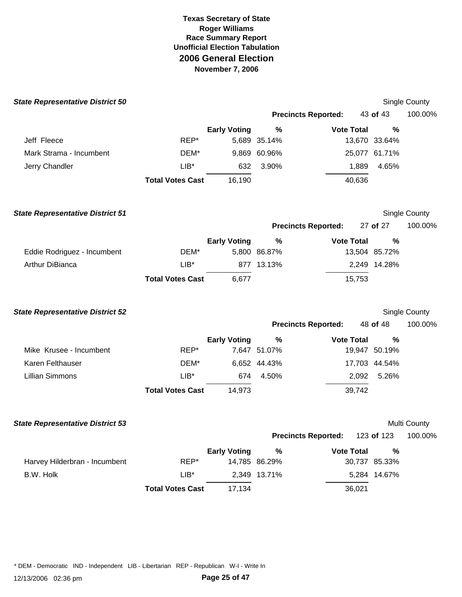| <b>State Representative District 50</b> |                         |                     |               |                            |               | Single County       |
|-----------------------------------------|-------------------------|---------------------|---------------|----------------------------|---------------|---------------------|
|                                         |                         |                     |               | <b>Precincts Reported:</b> | 43 of 43      | 100.00%             |
|                                         |                         | <b>Early Voting</b> | $\%$          | <b>Vote Total</b>          | $\frac{0}{0}$ |                     |
| Jeff Fleece                             | REP*                    |                     | 5,689 35.14%  |                            | 13,670 33.64% |                     |
| Mark Strama - Incumbent                 | DEM*                    |                     | 9,869 60.96%  |                            | 25,077 61.71% |                     |
| Jerry Chandler                          | LIB*                    | 632                 | 3.90%         | 1,889                      | 4.65%         |                     |
|                                         | <b>Total Votes Cast</b> | 16,190              |               | 40,636                     |               |                     |
| <b>State Representative District 51</b> |                         |                     |               |                            |               | Single County       |
|                                         |                         |                     |               | <b>Precincts Reported:</b> | 27 of 27      | 100.00%             |
|                                         |                         | <b>Early Voting</b> | $\%$          | <b>Vote Total</b>          | $\frac{0}{0}$ |                     |
| Eddie Rodriguez - Incumbent             | DEM*                    |                     | 5,800 86.87%  |                            | 13,504 85.72% |                     |
| Arthur DiBianca                         | $LIB*$                  |                     | 877 13.13%    |                            | 2,249 14.28%  |                     |
|                                         | <b>Total Votes Cast</b> | 6,677               |               | 15,753                     |               |                     |
| <b>State Representative District 52</b> |                         |                     |               |                            |               | Single County       |
|                                         |                         |                     |               | <b>Precincts Reported:</b> | 48 of 48      | 100.00%             |
|                                         |                         | <b>Early Voting</b> | %             | <b>Vote Total</b>          | %             |                     |
| Mike Krusee - Incumbent                 | REP*                    |                     | 7,647 51.07%  |                            | 19,947 50.19% |                     |
| Karen Felthauser                        | DEM*                    |                     | 6,652 44.43%  |                            | 17,703 44.54% |                     |
| <b>Lillian Simmons</b>                  | $LIB*$                  | 674                 | 4.50%         | 2,092                      | 5.26%         |                     |
|                                         | <b>Total Votes Cast</b> | 14,973              |               | 39,742                     |               |                     |
| <b>State Representative District 53</b> |                         |                     |               |                            |               | <b>Multi County</b> |
|                                         |                         |                     |               | <b>Precincts Reported:</b> | 123 of 123    | 100.00%             |
|                                         |                         | <b>Early Voting</b> | $\%$          | <b>Vote Total</b>          | $\%$          |                     |
| Harvey Hilderbran - Incumbent           | REP*                    |                     | 14,785 86.29% |                            | 30,737 85.33% |                     |
| B.W. Holk                               | $LIB*$                  |                     | 2,349 13.71%  |                            | 5,284 14.67%  |                     |
|                                         | <b>Total Votes Cast</b> | 17,134              |               | 36,021                     |               |                     |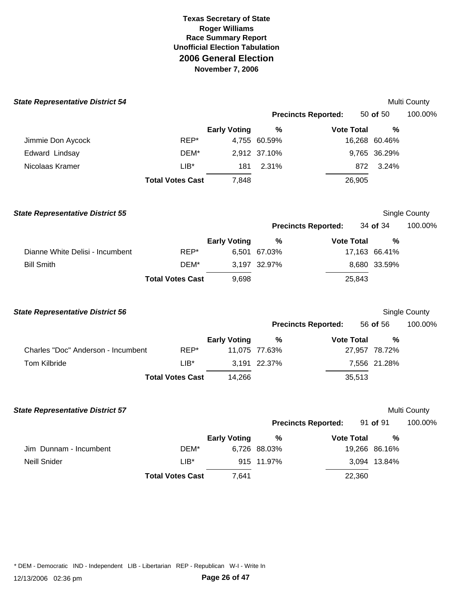| <b>State Representative District 54</b> |                         |                     |               |                            |               | Multi County  |
|-----------------------------------------|-------------------------|---------------------|---------------|----------------------------|---------------|---------------|
|                                         |                         |                     |               | <b>Precincts Reported:</b> | 50 of 50      | 100.00%       |
|                                         |                         | <b>Early Voting</b> | $\%$          | <b>Vote Total</b>          | %             |               |
| Jimmie Don Aycock                       | REP*                    |                     | 4,755 60.59%  |                            | 16,268 60.46% |               |
| Edward Lindsay                          | DEM*                    |                     | 2,912 37.10%  |                            | 9,765 36.29%  |               |
| Nicolaas Kramer                         | $LIB*$                  | 181                 | 2.31%         | 872                        | 3.24%         |               |
|                                         | <b>Total Votes Cast</b> | 7,848               |               | 26,905                     |               |               |
| <b>State Representative District 55</b> |                         |                     |               |                            |               | Single County |
|                                         |                         |                     |               | <b>Precincts Reported:</b> | 34 of 34      | 100.00%       |
|                                         |                         | <b>Early Voting</b> | %             | <b>Vote Total</b>          | %             |               |
| Dianne White Delisi - Incumbent         | REP*                    |                     | 6,501 67.03%  |                            | 17,163 66.41% |               |
| <b>Bill Smith</b>                       | DEM*                    |                     | 3,197 32.97%  |                            | 8,680 33.59%  |               |
|                                         | <b>Total Votes Cast</b> | 9,698               |               | 25,843                     |               |               |
| <b>State Representative District 56</b> |                         |                     |               |                            |               | Single County |
|                                         |                         |                     |               | <b>Precincts Reported:</b> | 56 of 56      | 100.00%       |
|                                         |                         | <b>Early Voting</b> | %             | <b>Vote Total</b>          | %             |               |
| Charles "Doc" Anderson - Incumbent      | REP*                    |                     | 11,075 77.63% |                            | 27,957 78.72% |               |
| Tom Kilbride                            | $LIB*$                  |                     | 3,191 22.37%  |                            | 7,556 21.28%  |               |
|                                         | <b>Total Votes Cast</b> | 14,266              |               | 35,513                     |               |               |
| <b>State Representative District 57</b> |                         |                     |               |                            |               | Multi County  |
|                                         |                         |                     |               | <b>Precincts Reported:</b> | 91 of 91      | 100.00%       |
|                                         |                         | <b>Early Voting</b> | $\%$          | <b>Vote Total</b>          | $\%$          |               |
| Jim Dunnam - Incumbent                  | DEM*                    |                     | 6,726 88.03%  |                            | 19,266 86.16% |               |
| Neill Snider                            | $LIB*$                  |                     | 915 11.97%    |                            | 3,094 13.84%  |               |
|                                         | <b>Total Votes Cast</b> | 7,641               |               | 22,360                     |               |               |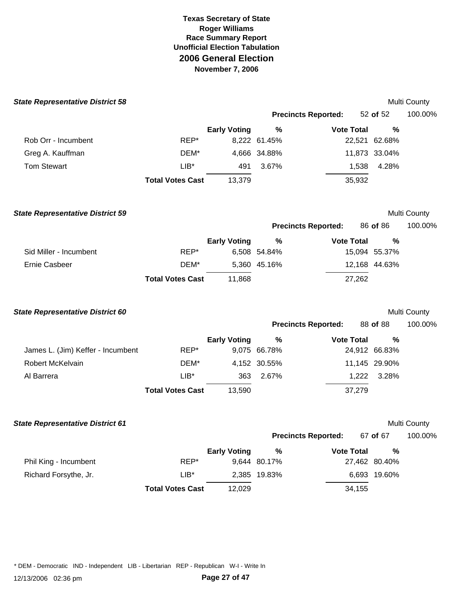| <b>State Representative District 58</b> |                         |                     |              |                            |               | Multi County        |
|-----------------------------------------|-------------------------|---------------------|--------------|----------------------------|---------------|---------------------|
|                                         |                         |                     |              | <b>Precincts Reported:</b> | 52 of 52      | 100.00%             |
|                                         |                         | <b>Early Voting</b> | $\%$         | <b>Vote Total</b>          | %             |                     |
| Rob Orr - Incumbent                     | REP*                    |                     | 8,222 61.45% |                            | 22,521 62.68% |                     |
| Greg A. Kauffman                        | DEM*                    |                     | 4,666 34.88% |                            | 11,873 33.04% |                     |
| <b>Tom Stewart</b>                      | $LIB*$                  | 491                 | 3.67%        | 1,538                      | 4.28%         |                     |
|                                         | <b>Total Votes Cast</b> | 13,379              |              | 35,932                     |               |                     |
| <b>State Representative District 59</b> |                         |                     |              |                            |               | Multi County        |
|                                         |                         |                     |              | <b>Precincts Reported:</b> | 86 of 86      | 100.00%             |
|                                         |                         | <b>Early Voting</b> | %            | <b>Vote Total</b>          | %             |                     |
| Sid Miller - Incumbent                  | REP*                    |                     | 6,508 54.84% |                            | 15,094 55.37% |                     |
| <b>Ernie Casbeer</b>                    | DEM*                    |                     | 5,360 45.16% |                            | 12,168 44.63% |                     |
|                                         | <b>Total Votes Cast</b> | 11,868              |              | 27,262                     |               |                     |
| <b>State Representative District 60</b> |                         |                     |              |                            |               | Multi County        |
|                                         |                         |                     |              | <b>Precincts Reported:</b> | 88 of 88      | 100.00%             |
|                                         |                         | <b>Early Voting</b> | %            | <b>Vote Total</b>          | %             |                     |
| James L. (Jim) Keffer - Incumbent       | REP*                    |                     | 9,075 66.78% |                            | 24,912 66.83% |                     |
| <b>Robert McKelvain</b>                 | DEM*                    |                     | 4,152 30.55% |                            | 11,145 29.90% |                     |
| Al Barrera                              | LIB*                    | 363                 | 2.67%        | 1,222                      | 3.28%         |                     |
|                                         | <b>Total Votes Cast</b> | 13,590              |              | 37,279                     |               |                     |
| <b>State Representative District 61</b> |                         |                     |              |                            |               | <b>Multi County</b> |
|                                         |                         |                     |              | <b>Precincts Reported:</b> | 67 of 67      | 100.00%             |
|                                         |                         | <b>Early Voting</b> | $\%$         | <b>Vote Total</b>          | $\%$          |                     |
| Phil King - Incumbent                   | REP*                    |                     | 9,644 80.17% |                            | 27,462 80.40% |                     |
| Richard Forsythe, Jr.                   | $LIB*$                  |                     | 2,385 19.83% |                            | 6,693 19.60%  |                     |
|                                         | <b>Total Votes Cast</b> | 12,029              |              | 34,155                     |               |                     |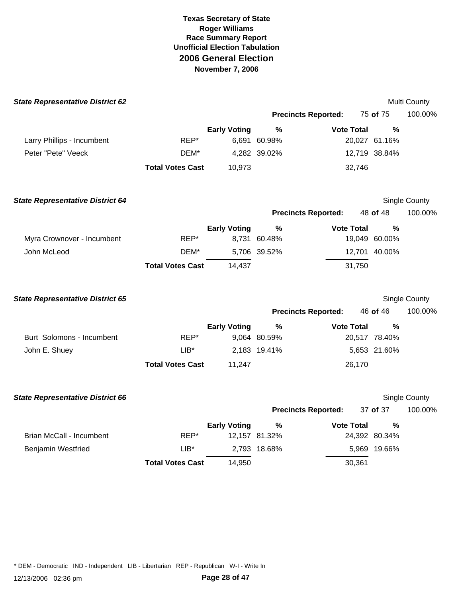| <b>State Representative District 62</b> |                         |                     |               |                            |               | Multi County  |
|-----------------------------------------|-------------------------|---------------------|---------------|----------------------------|---------------|---------------|
|                                         |                         |                     |               | <b>Precincts Reported:</b> | 75 of 75      | 100.00%       |
|                                         |                         | <b>Early Voting</b> | $\frac{9}{6}$ | <b>Vote Total</b>          | $\frac{0}{0}$ |               |
| Larry Phillips - Incumbent              | REP*                    |                     | 6,691 60.98%  |                            | 20,027 61.16% |               |
| Peter "Pete" Veeck                      | DEM*                    |                     | 4,282 39.02%  |                            | 12,719 38.84% |               |
|                                         | <b>Total Votes Cast</b> | 10,973              |               | 32,746                     |               |               |
| <b>State Representative District 64</b> |                         |                     |               |                            |               | Single County |
|                                         |                         |                     |               | <b>Precincts Reported:</b> | 48 of 48      | 100.00%       |
|                                         |                         | <b>Early Voting</b> | $\%$          | <b>Vote Total</b>          | %             |               |
| Myra Crownover - Incumbent              | REP*                    |                     | 8,731 60.48%  |                            | 19,049 60.00% |               |
| John McLeod                             | DEM*                    |                     | 5,706 39.52%  |                            | 12,701 40.00% |               |
|                                         | <b>Total Votes Cast</b> | 14,437              |               | 31,750                     |               |               |
| <b>State Representative District 65</b> |                         |                     |               |                            |               | Single County |
|                                         |                         |                     |               | <b>Precincts Reported:</b> | 46 of 46      | 100.00%       |
|                                         |                         | <b>Early Voting</b> | $\%$          | <b>Vote Total</b>          | $\%$          |               |
| Burt Solomons - Incumbent               | REP*                    |                     | 9,064 80.59%  |                            | 20,517 78.40% |               |
| John E. Shuey                           | $LIB*$                  |                     | 2,183 19.41%  |                            | 5,653 21.60%  |               |
|                                         | <b>Total Votes Cast</b> | 11,247              |               | 26,170                     |               |               |
| <b>State Representative District 66</b> |                         |                     |               |                            |               | Single County |
|                                         |                         |                     |               | <b>Precincts Reported:</b> | 37 of 37      | 100.00%       |
|                                         |                         | <b>Early Voting</b> | $\frac{9}{6}$ | <b>Vote Total</b>          | %             |               |
| Brian McCall - Incumbent                | REP*                    |                     | 12,157 81.32% |                            | 24,392 80.34% |               |
| <b>Benjamin Westfried</b>               | $LIB*$                  |                     | 2,793 18.68%  |                            | 5,969 19.66%  |               |
|                                         | <b>Total Votes Cast</b> | 14,950              |               | 30,361                     |               |               |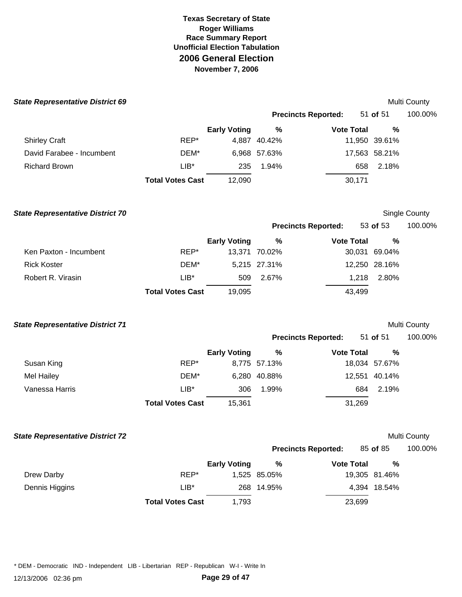| <b>State Representative District 69</b> |                         |                     |               |                            |               | Multi County  |
|-----------------------------------------|-------------------------|---------------------|---------------|----------------------------|---------------|---------------|
|                                         |                         |                     |               | <b>Precincts Reported:</b> | 51 of 51      | 100.00%       |
|                                         |                         | <b>Early Voting</b> | %             | <b>Vote Total</b>          | %             |               |
| <b>Shirley Craft</b>                    | REP*                    |                     | 4,887 40.42%  |                            | 11,950 39.61% |               |
| David Farabee - Incumbent               | DEM*                    |                     | 6,968 57.63%  |                            | 17,563 58.21% |               |
| <b>Richard Brown</b>                    | $LIB^*$                 | 235                 | 1.94%         | 658                        | 2.18%         |               |
|                                         | <b>Total Votes Cast</b> | 12,090              |               | 30,171                     |               |               |
| <b>State Representative District 70</b> |                         |                     |               |                            |               | Single County |
|                                         |                         |                     |               | <b>Precincts Reported:</b> | 53 of 53      | 100.00%       |
|                                         |                         | <b>Early Voting</b> | $\%$          | <b>Vote Total</b>          | %             |               |
| Ken Paxton - Incumbent                  | REP*                    |                     | 13,371 70.02% |                            | 30,031 69.04% |               |
| <b>Rick Koster</b>                      | DEM*                    |                     | 5,215 27.31%  |                            | 12,250 28.16% |               |
| Robert R. Virasin                       | $LIB*$                  | 509                 | 2.67%         | 1,218                      | 2.80%         |               |
|                                         | <b>Total Votes Cast</b> | 19,095              |               | 43,499                     |               |               |
| <b>State Representative District 71</b> |                         |                     |               |                            |               | Multi County  |
|                                         |                         |                     |               | <b>Precincts Reported:</b> | 51 of 51      | 100.00%       |
|                                         |                         | <b>Early Voting</b> | $\%$          | <b>Vote Total</b>          | %             |               |
| Susan King                              | REP*                    |                     | 8,775 57.13%  |                            | 18,034 57.67% |               |
| <b>Mel Hailey</b>                       | DEM*                    |                     | 6,280 40.88%  |                            | 12,551 40.14% |               |
| Vanessa Harris                          | $LIB*$                  | 306                 | 1.99%         | 684                        | 2.19%         |               |
|                                         | <b>Total Votes Cast</b> | 15,361              |               | 31,269                     |               |               |
| <b>State Representative District 72</b> |                         |                     |               |                            |               | Multi County  |
|                                         |                         |                     |               | <b>Precincts Reported:</b> | 85 of 85      | 100.00%       |
|                                         |                         | <b>Early Voting</b> | %             | <b>Vote Total</b>          | %             |               |
| Drew Darby                              | REP*                    |                     | 1,525 85.05%  |                            | 19,305 81.46% |               |
| Dennis Higgins                          | $LIB*$                  |                     | 268 14.95%    |                            | 4,394 18.54%  |               |
|                                         | <b>Total Votes Cast</b> | 1,793               |               | 23,699                     |               |               |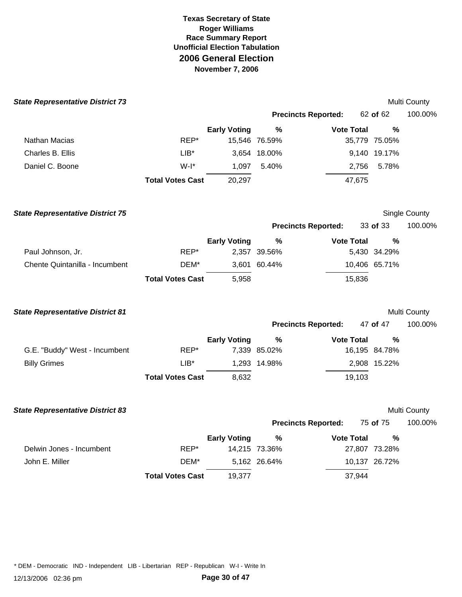| <b>State Representative District 73</b> |                         |                     |               |                            |               | Multi County  |
|-----------------------------------------|-------------------------|---------------------|---------------|----------------------------|---------------|---------------|
|                                         |                         |                     |               | <b>Precincts Reported:</b> | 62 of 62      | 100.00%       |
|                                         |                         | <b>Early Voting</b> | $\%$          | <b>Vote Total</b>          | %             |               |
| Nathan Macias                           | REP*                    |                     | 15,546 76.59% |                            | 35,779 75.05% |               |
| Charles B. Ellis                        | $LIB^*$                 |                     | 3,654 18.00%  |                            | 9,140 19.17%  |               |
| Daniel C. Boone                         | $W-I^*$                 | 1,097               | 5.40%         | 2,756                      | 5.78%         |               |
|                                         | <b>Total Votes Cast</b> | 20,297              |               | 47,675                     |               |               |
| <b>State Representative District 75</b> |                         |                     |               |                            |               | Single County |
|                                         |                         |                     |               | <b>Precincts Reported:</b> | 33 of 33      | 100.00%       |
|                                         |                         | <b>Early Voting</b> | $\%$          | <b>Vote Total</b>          | %             |               |
| Paul Johnson, Jr.                       | REP*                    |                     | 2,357 39.56%  |                            | 5,430 34.29%  |               |
| Chente Quintanilla - Incumbent          | DEM*                    |                     | 3,601 60.44%  |                            | 10,406 65.71% |               |
|                                         | <b>Total Votes Cast</b> | 5,958               |               | 15,836                     |               |               |
| <b>State Representative District 81</b> |                         |                     |               |                            |               | Multi County  |
|                                         |                         |                     |               | <b>Precincts Reported:</b> | 47 of 47      | 100.00%       |
|                                         |                         | <b>Early Voting</b> | $\%$          | <b>Vote Total</b>          | %             |               |
| G.E. "Buddy" West - Incumbent           | REP*                    |                     | 7,339 85.02%  |                            | 16,195 84.78% |               |
| <b>Billy Grimes</b>                     | $LIB*$                  |                     | 1,293 14.98%  |                            | 2,908 15.22%  |               |
|                                         | <b>Total Votes Cast</b> | 8,632               |               | 19,103                     |               |               |
| <b>State Representative District 83</b> |                         |                     |               |                            |               | Multi County  |
|                                         |                         |                     |               | <b>Precincts Reported:</b> | 75 of 75      | 100.00%       |
|                                         |                         | <b>Early Voting</b> | $\%$          | <b>Vote Total</b>          | %             |               |
| Delwin Jones - Incumbent                | REP*                    |                     | 14,215 73.36% |                            | 27,807 73.28% |               |
| John E. Miller                          | DEM*                    |                     | 5,162 26.64%  |                            | 10,137 26.72% |               |
|                                         | <b>Total Votes Cast</b> | 19,377              |               | 37,944                     |               |               |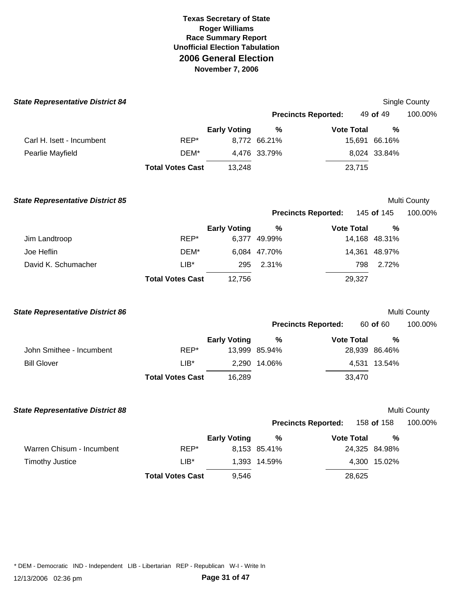| <b>State Representative District 84</b> |                         |                     |               |                            |               | <b>Single County</b> |
|-----------------------------------------|-------------------------|---------------------|---------------|----------------------------|---------------|----------------------|
|                                         |                         |                     |               | <b>Precincts Reported:</b> | 49 of 49      | 100.00%              |
|                                         |                         | <b>Early Voting</b> | %             | <b>Vote Total</b>          | %             |                      |
| Carl H. Isett - Incumbent               | REP*                    |                     | 8,772 66.21%  |                            | 15,691 66.16% |                      |
| Pearlie Mayfield                        | DEM*                    |                     | 4,476 33.79%  |                            | 8,024 33.84%  |                      |
|                                         | <b>Total Votes Cast</b> | 13,248              |               | 23,715                     |               |                      |
| <b>State Representative District 85</b> |                         |                     |               |                            |               | Multi County         |
|                                         |                         |                     |               | <b>Precincts Reported:</b> | 145 of 145    | 100.00%              |
|                                         |                         | <b>Early Voting</b> | %             | <b>Vote Total</b>          | %             |                      |
| Jim Landtroop                           | REP*                    |                     | 6,377 49.99%  |                            | 14,168 48.31% |                      |
| Joe Heflin                              | DEM*                    |                     | 6,084 47.70%  |                            | 14,361 48.97% |                      |
| David K. Schumacher                     | $LIB^*$                 | 295                 | 2.31%         |                            | 798<br>2.72%  |                      |
|                                         | <b>Total Votes Cast</b> | 12,756              |               | 29,327                     |               |                      |
| <b>State Representative District 86</b> |                         |                     |               |                            |               | Multi County         |
|                                         |                         |                     |               | <b>Precincts Reported:</b> | 60 of 60      | 100.00%              |
|                                         |                         | <b>Early Voting</b> | $\%$          | <b>Vote Total</b>          | %             |                      |
| John Smithee - Incumbent                | REP*                    |                     | 13,999 85.94% |                            | 28,939 86.46% |                      |
| <b>Bill Glover</b>                      | $LIB^*$                 |                     | 2,290 14.06%  |                            | 4,531 13.54%  |                      |
|                                         | <b>Total Votes Cast</b> | 16,289              |               | 33,470                     |               |                      |
| <b>State Representative District 88</b> |                         |                     |               |                            |               | Multi County         |
|                                         |                         |                     |               | <b>Precincts Reported:</b> | 158 of 158    | 100.00%              |
|                                         |                         | <b>Early Voting</b> | $\%$          | <b>Vote Total</b>          | ℅             |                      |
| Warren Chisum - Incumbent               | REP*                    |                     | 8,153 85.41%  |                            | 24,325 84.98% |                      |
| <b>Timothy Justice</b>                  | $LIB*$                  |                     | 1,393 14.59%  |                            | 4,300 15.02%  |                      |
|                                         | <b>Total Votes Cast</b> | 9,546               |               | 28,625                     |               |                      |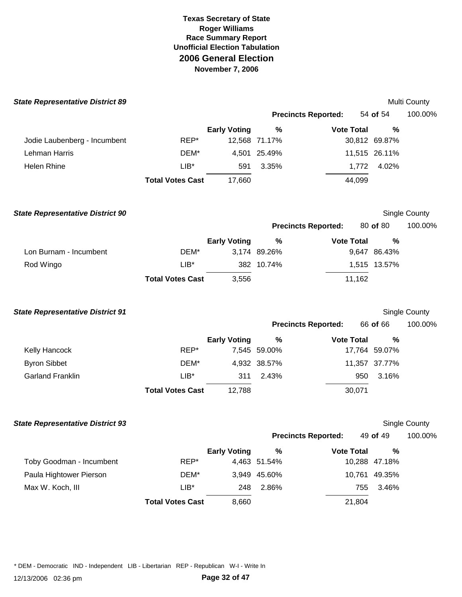| <b>State Representative District 89</b> |                         |                     |               |                            |               | Multi County         |
|-----------------------------------------|-------------------------|---------------------|---------------|----------------------------|---------------|----------------------|
|                                         |                         |                     |               | <b>Precincts Reported:</b> | 54 of 54      | 100.00%              |
|                                         |                         | <b>Early Voting</b> | $\%$          | <b>Vote Total</b>          | %             |                      |
| Jodie Laubenberg - Incumbent            | REP*                    |                     | 12,568 71.17% |                            | 30,812 69.87% |                      |
| Lehman Harris                           | DEM*                    | 4,501               | 25.49%        |                            | 11,515 26.11% |                      |
| Helen Rhine                             | $LIB*$                  | 591                 | 3.35%         | 1,772                      | 4.02%         |                      |
|                                         | <b>Total Votes Cast</b> | 17,660              |               | 44,099                     |               |                      |
| <b>State Representative District 90</b> |                         |                     |               |                            |               | Single County        |
|                                         |                         |                     |               | <b>Precincts Reported:</b> | 80 of 80      | 100.00%              |
|                                         |                         | <b>Early Voting</b> | %             | <b>Vote Total</b>          | %             |                      |
| Lon Burnam - Incumbent                  | DEM*                    |                     | 3,174 89.26%  |                            | 9,647 86.43%  |                      |
| Rod Wingo                               | $LIB^*$                 |                     | 382 10.74%    |                            | 1,515 13.57%  |                      |
|                                         | <b>Total Votes Cast</b> | 3,556               |               | 11,162                     |               |                      |
| <b>State Representative District 91</b> |                         |                     |               |                            |               | Single County        |
|                                         |                         |                     |               | <b>Precincts Reported:</b> | 66 of 66      | 100.00%              |
|                                         |                         | <b>Early Voting</b> | $\%$          | <b>Vote Total</b>          | %             |                      |
| Kelly Hancock                           | REP*                    |                     | 7,545 59.00%  |                            | 17,764 59.07% |                      |
| <b>Byron Sibbet</b>                     | DEM*                    |                     | 4,932 38.57%  |                            | 11,357 37.77% |                      |
| <b>Garland Franklin</b>                 | $LIB*$                  | 311                 | 2.43%         | 950                        | 3.16%         |                      |
|                                         | <b>Total Votes Cast</b> | 12,788              |               | 30,071                     |               |                      |
| <b>State Representative District 93</b> |                         |                     |               |                            |               | <b>Single County</b> |
|                                         |                         |                     |               | <b>Precincts Reported:</b> | 49 of 49      | 100.00%              |
|                                         |                         | <b>Early Voting</b> | $\%$          | <b>Vote Total</b>          | $\%$          |                      |
| Toby Goodman - Incumbent                | REP*                    |                     | 4,463 51.54%  |                            | 10,288 47.18% |                      |
| Paula Hightower Pierson                 | DEM*                    | 3,949               | 45.60%        |                            | 10,761 49.35% |                      |
| Max W. Koch, III                        | $LIB*$                  | 248                 | 2.86%         | 755                        | 3.46%         |                      |
|                                         | <b>Total Votes Cast</b> | 8,660               |               | 21,804                     |               |                      |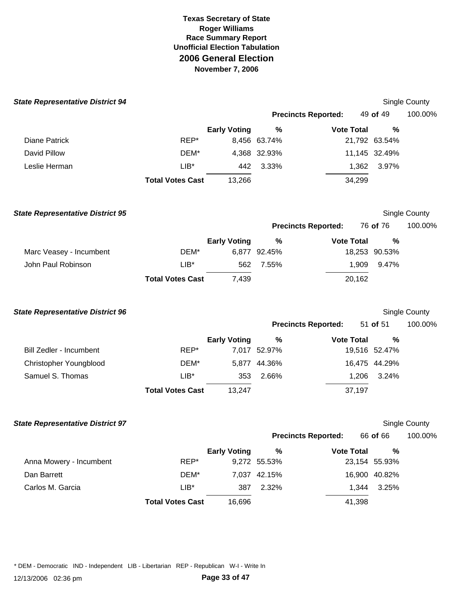| <b>State Representative District 94</b> |                         |                     |              |                            |               | Single County        |
|-----------------------------------------|-------------------------|---------------------|--------------|----------------------------|---------------|----------------------|
|                                         |                         |                     |              | <b>Precincts Reported:</b> | 49 of 49      | 100.00%              |
|                                         |                         | <b>Early Voting</b> | $\%$         | <b>Vote Total</b>          | %             |                      |
| <b>Diane Patrick</b>                    | REP*                    |                     | 8,456 63.74% |                            | 21,792 63.54% |                      |
| David Pillow                            | DEM*                    |                     | 4,368 32.93% |                            | 11,145 32.49% |                      |
| Leslie Herman                           | $LIB*$                  | 442                 | 3.33%        | 1,362                      | 3.97%         |                      |
|                                         | <b>Total Votes Cast</b> | 13,266              |              | 34,299                     |               |                      |
| <b>State Representative District 95</b> |                         |                     |              |                            |               | Single County        |
|                                         |                         |                     |              | <b>Precincts Reported:</b> | 76 of 76      | 100.00%              |
|                                         |                         | <b>Early Voting</b> | $\%$         | <b>Vote Total</b>          | %             |                      |
| Marc Veasey - Incumbent                 | DEM*                    |                     | 6,877 92.45% |                            | 18,253 90.53% |                      |
| John Paul Robinson                      | $LIB*$                  | 562                 | 7.55%        | 1,909                      | 9.47%         |                      |
|                                         | <b>Total Votes Cast</b> | 7,439               |              | 20,162                     |               |                      |
| <b>State Representative District 96</b> |                         |                     |              |                            |               | Single County        |
|                                         |                         |                     |              | <b>Precincts Reported:</b> | 51 of 51      | 100.00%              |
|                                         |                         | <b>Early Voting</b> | %            | <b>Vote Total</b>          | %             |                      |
| <b>Bill Zedler - Incumbent</b>          | REP*                    |                     | 7,017 52.97% |                            | 19,516 52.47% |                      |
| Christopher Youngblood                  | DEM*                    |                     | 5,877 44.36% |                            | 16,475 44.29% |                      |
| Samuel S. Thomas                        | $LIB^*$                 | 353                 | 2.66%        | 1,206                      | 3.24%         |                      |
|                                         | <b>Total Votes Cast</b> | 13,247              |              | 37,197                     |               |                      |
| <b>State Representative District 97</b> |                         |                     |              |                            |               | <b>Single County</b> |
|                                         |                         |                     |              | <b>Precincts Reported:</b> | 66 of 66      | 100.00%              |
|                                         |                         | <b>Early Voting</b> | $\%$         | <b>Vote Total</b>          | $\%$          |                      |
| Anna Mowery - Incumbent                 | REP*                    |                     | 9,272 55.53% |                            | 23,154 55.93% |                      |
| Dan Barrett                             | DEM*                    |                     | 7,037 42.15% |                            | 16,900 40.82% |                      |
| Carlos M. Garcia                        | $LIB^*$                 | 387                 | 2.32%        | 1,344                      | 3.25%         |                      |
|                                         | <b>Total Votes Cast</b> | 16,696              |              | 41,398                     |               |                      |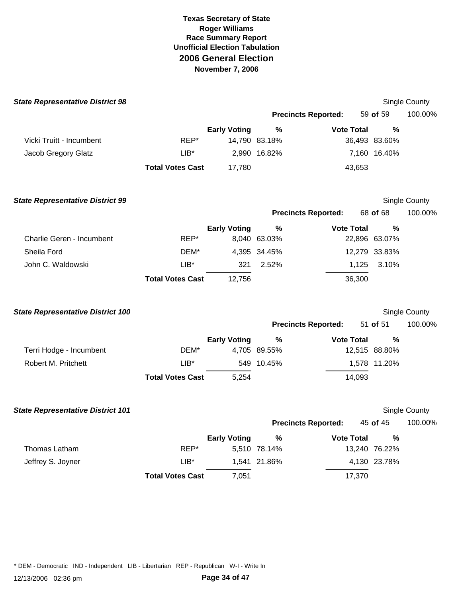| <b>State Representative District 98</b>  |                         |                     |               |                            |               | Single County |
|------------------------------------------|-------------------------|---------------------|---------------|----------------------------|---------------|---------------|
|                                          |                         |                     |               | <b>Precincts Reported:</b> | 59 of 59      | 100.00%       |
|                                          |                         | <b>Early Voting</b> | %             | <b>Vote Total</b>          | %             |               |
| Vicki Truitt - Incumbent                 | REP*                    |                     | 14,790 83.18% |                            | 36,493 83.60% |               |
| Jacob Gregory Glatz                      | $LIB^*$                 | 2,990               | 16.82%        |                            | 7,160 16.40%  |               |
|                                          | <b>Total Votes Cast</b> | 17,780              |               | 43,653                     |               |               |
| <b>State Representative District 99</b>  |                         |                     |               |                            |               | Single County |
|                                          |                         |                     |               | <b>Precincts Reported:</b> | 68 of 68      | 100.00%       |
|                                          |                         | <b>Early Voting</b> | $\%$          | <b>Vote Total</b>          | %             |               |
| <b>Charlie Geren - Incumbent</b>         | REP*                    |                     | 8,040 63.03%  |                            | 22,896 63.07% |               |
| Sheila Ford                              | DEM*                    |                     | 4,395 34.45%  |                            | 12,279 33.83% |               |
| John C. Waldowski                        | $LIB*$                  | 321                 | 2.52%         | 1,125                      | 3.10%         |               |
|                                          | <b>Total Votes Cast</b> | 12,756              |               | 36,300                     |               |               |
| <b>State Representative District 100</b> |                         |                     |               |                            |               | Single County |
|                                          |                         |                     |               | <b>Precincts Reported:</b> | 51 of 51      | 100.00%       |
|                                          |                         | <b>Early Voting</b> | $\%$          | <b>Vote Total</b>          | $\%$          |               |
| Terri Hodge - Incumbent                  | DEM*                    |                     | 4,705 89.55%  |                            | 12,515 88.80% |               |
| Robert M. Pritchett                      | $LIB*$                  |                     | 549 10.45%    |                            | 1,578 11.20%  |               |
|                                          | <b>Total Votes Cast</b> | 5,254               |               | 14,093                     |               |               |
| <b>State Representative District 101</b> |                         |                     |               |                            |               | Single County |
|                                          |                         |                     |               | <b>Precincts Reported:</b> | 45 of 45      | 100.00%       |
|                                          |                         | <b>Early Voting</b> | %             | <b>Vote Total</b>          | %             |               |
| Thomas Latham                            | REP*                    |                     | 5,510 78.14%  |                            | 13,240 76.22% |               |
| Jeffrey S. Joyner                        | $LIB*$                  |                     | 1,541 21.86%  |                            | 4,130 23.78%  |               |
|                                          | <b>Total Votes Cast</b> | 7,051               |               | 17,370                     |               |               |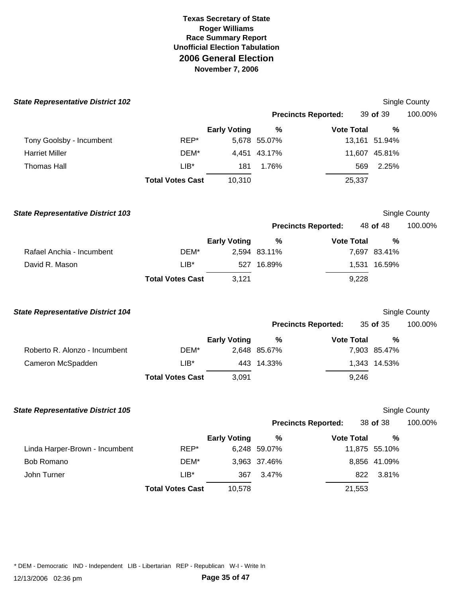| <b>State Representative District 102</b> |                         |                     |              |                            |        |               | Single County |
|------------------------------------------|-------------------------|---------------------|--------------|----------------------------|--------|---------------|---------------|
|                                          |                         |                     |              | <b>Precincts Reported:</b> |        | 39 of 39      | 100.00%       |
|                                          |                         | <b>Early Voting</b> | %            | <b>Vote Total</b>          |        | $\frac{0}{0}$ |               |
| Tony Goolsby - Incumbent                 | REP*                    |                     | 5,678 55.07% |                            |        | 13,161 51.94% |               |
| <b>Harriet Miller</b>                    | DEM*                    | 4,451               | 43.17%       |                            |        | 11,607 45.81% |               |
| <b>Thomas Hall</b>                       | $LIB*$                  | 181                 | 1.76%        |                            | 569    | 2.25%         |               |
|                                          | <b>Total Votes Cast</b> | 10,310              |              |                            | 25,337 |               |               |
| <b>State Representative District 103</b> |                         |                     |              |                            |        |               | Single County |
|                                          |                         |                     |              | <b>Precincts Reported:</b> |        | 48 of 48      | 100.00%       |
|                                          |                         | <b>Early Voting</b> | $\%$         | <b>Vote Total</b>          |        | %             |               |
| Rafael Anchia - Incumbent                | DEM*                    |                     | 2,594 83.11% |                            |        | 7,697 83.41%  |               |
| David R. Mason                           | $LIB^*$                 |                     | 527 16.89%   |                            |        | 1,531 16.59%  |               |
|                                          | <b>Total Votes Cast</b> | 3,121               |              |                            | 9,228  |               |               |
| <b>State Representative District 104</b> |                         |                     |              |                            |        |               | Single County |
|                                          |                         |                     |              | <b>Precincts Reported:</b> |        | 35 of 35      | 100.00%       |
|                                          |                         | <b>Early Voting</b> | %            | <b>Vote Total</b>          |        | %             |               |
| Roberto R. Alonzo - Incumbent            | DEM*                    |                     | 2,648 85.67% |                            |        | 7,903 85.47%  |               |
| Cameron McSpadden                        | $LIB^*$                 |                     | 443 14.33%   |                            |        | 1,343 14.53%  |               |
|                                          | <b>Total Votes Cast</b> | 3,091               |              |                            | 9,246  |               |               |
| <b>State Representative District 105</b> |                         |                     |              |                            |        |               | Single County |
|                                          |                         |                     |              | <b>Precincts Reported:</b> |        | 38 of 38      | 100.00%       |
|                                          |                         | <b>Early Voting</b> | $\%$         | <b>Vote Total</b>          |        | $\%$          |               |
| Linda Harper-Brown - Incumbent           | REP*                    |                     | 6,248 59.07% |                            |        | 11,875 55.10% |               |
| Bob Romano                               | DEM*                    |                     | 3,963 37.46% |                            |        | 8,856 41.09%  |               |
| John Turner                              | $LIB*$                  | 367                 | 3.47%        |                            | 822    | 3.81%         |               |
|                                          | <b>Total Votes Cast</b> | 10,578              |              |                            | 21,553 |               |               |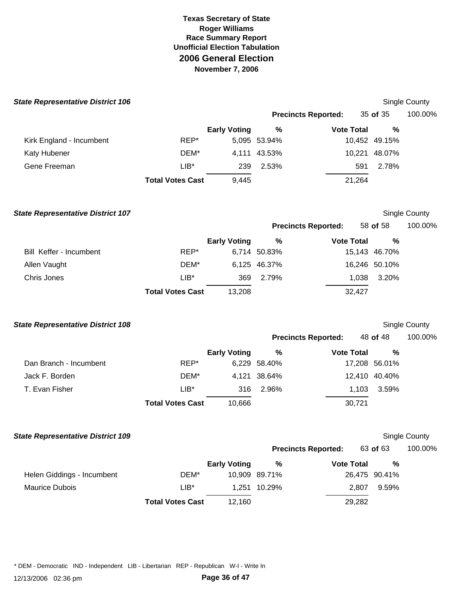| <b>State Representative District 106</b> |                         |                     |               |                            |               | <b>Single County</b> |
|------------------------------------------|-------------------------|---------------------|---------------|----------------------------|---------------|----------------------|
|                                          |                         |                     |               | <b>Precincts Reported:</b> | 35 of 35      | 100.00%              |
|                                          |                         | <b>Early Voting</b> | $\%$          | <b>Vote Total</b>          | %             |                      |
| Kirk England - Incumbent                 | REP*                    |                     | 5,095 53.94%  |                            | 10,452 49.15% |                      |
| Katy Hubener                             | DEM*                    |                     | 4,111 43.53%  |                            | 10,221 48.07% |                      |
| Gene Freeman                             | $LIB*$                  | 239                 | 2.53%         | 591                        | 2.78%         |                      |
|                                          | <b>Total Votes Cast</b> | 9,445               |               | 21,264                     |               |                      |
| <b>State Representative District 107</b> |                         |                     |               |                            |               | Single County        |
|                                          |                         |                     |               | <b>Precincts Reported:</b> | 58 of 58      | 100.00%              |
|                                          |                         | <b>Early Voting</b> | %             | <b>Vote Total</b>          | %             |                      |
| Bill Keffer - Incumbent                  | REP*                    |                     | 6,714 50.83%  |                            | 15,143 46.70% |                      |
| Allen Vaught                             | DEM*                    |                     | 6,125 46.37%  |                            | 16,246 50.10% |                      |
| Chris Jones                              | $LIB*$                  | 369                 | 2.79%         | 1,038                      | 3.20%         |                      |
|                                          | <b>Total Votes Cast</b> | 13,208              |               | 32,427                     |               |                      |
| <b>State Representative District 108</b> |                         |                     |               |                            |               | Single County        |
|                                          |                         |                     |               | <b>Precincts Reported:</b> | 48 of 48      | 100.00%              |
|                                          |                         | <b>Early Voting</b> | $\%$          | <b>Vote Total</b>          | %             |                      |
| Dan Branch - Incumbent                   | REP*                    |                     | 6,229 58.40%  |                            | 17,208 56.01% |                      |
| Jack F. Borden                           | DEM*                    |                     | 4,121 38.64%  |                            | 12,410 40.40% |                      |
| T. Evan Fisher                           | $LIB*$                  | 316                 | 2.96%         | 1,103                      | 3.59%         |                      |
|                                          | <b>Total Votes Cast</b> | 10,666              |               | 30,721                     |               |                      |
| <b>State Representative District 109</b> |                         |                     |               |                            |               | Single County        |
|                                          |                         |                     |               | <b>Precincts Reported:</b> | 63 of 63      | 100.00%              |
|                                          |                         | <b>Early Voting</b> | %             | <b>Vote Total</b>          | %             |                      |
| Helen Giddings - Incumbent               | DEM*                    |                     | 10,909 89.71% |                            | 26,475 90.41% |                      |
| <b>Maurice Dubois</b>                    | $LIB*$                  | 1,251               | 10.29%        | 2,807                      | 9.59%         |                      |
|                                          | <b>Total Votes Cast</b> | 12,160              |               | 29,282                     |               |                      |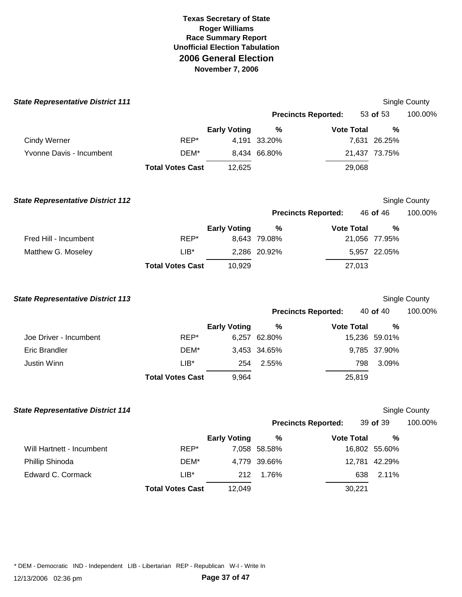| <b>State Representative District 111</b> |                         |                     |                      |                            |        |                    | <b>Single County</b> |
|------------------------------------------|-------------------------|---------------------|----------------------|----------------------------|--------|--------------------|----------------------|
|                                          |                         |                     |                      | <b>Precincts Reported:</b> |        | 53 of 53           | 100.00%              |
|                                          |                         | <b>Early Voting</b> | %                    | <b>Vote Total</b>          |        | $\frac{0}{0}$      |                      |
| <b>Cindy Werner</b>                      | REP*                    | 4,191               | 33.20%               |                            |        | 7,631 26.25%       |                      |
| Yvonne Davis - Incumbent                 | DEM*                    |                     | 8,434 66.80%         |                            |        | 21,437 73.75%      |                      |
|                                          | <b>Total Votes Cast</b> | 12,625              |                      |                            | 29,068 |                    |                      |
| <b>State Representative District 112</b> |                         |                     |                      |                            |        |                    | <b>Single County</b> |
|                                          |                         |                     |                      | <b>Precincts Reported:</b> |        | 46 of 46           | 100.00%              |
|                                          |                         | <b>Early Voting</b> | %                    | <b>Vote Total</b>          |        | $\frac{0}{0}$      |                      |
| Fred Hill - Incumbent                    | REP*                    |                     | 8,643 79.08%         |                            |        | 21,056 77.95%      |                      |
| Matthew G. Moseley                       | $LIB^*$                 |                     | 2,286 20.92%         |                            |        | 5,957 22.05%       |                      |
|                                          | <b>Total Votes Cast</b> | 10,929              |                      |                            | 27,013 |                    |                      |
| <b>State Representative District 113</b> |                         |                     |                      |                            |        |                    | Single County        |
|                                          |                         |                     |                      | <b>Precincts Reported:</b> |        | 40 of 40           | 100.00%              |
|                                          |                         | <b>Early Voting</b> | $\%$                 | <b>Vote Total</b>          |        | %                  |                      |
| Joe Driver - Incumbent                   | REP*                    |                     | 6,257 62.80%         |                            |        | 15,236 59.01%      |                      |
| <b>Eric Brandler</b>                     | DEM*                    |                     | 3,453 34.65%         |                            |        | 9,785 37.90%       |                      |
| Justin Winn                              | $LIB^*$                 | 254                 | 2.55%                |                            | 798    | 3.09%              |                      |
|                                          | <b>Total Votes Cast</b> | 9,964               |                      |                            | 25,819 |                    |                      |
| <b>State Representative District 114</b> |                         |                     |                      |                            |        |                    | Single County        |
|                                          |                         |                     |                      | <b>Precincts Reported:</b> |        | 39 of 39           | 100.00%              |
| Will Hartnett - Incumbent                | REP*                    | <b>Early Voting</b> | $\%$<br>7,058 58.58% | <b>Vote Total</b>          |        | %<br>16,802 55.60% |                      |
| Phillip Shinoda                          | DEM*                    |                     | 4,779 39.66%         |                            |        | 12,781 42.29%      |                      |
| Edward C. Cormack                        | $LIB^*$                 | 212                 | 1.76%                |                            | 638    | 2.11%              |                      |
|                                          | <b>Total Votes Cast</b> | 12,049              |                      |                            | 30,221 |                    |                      |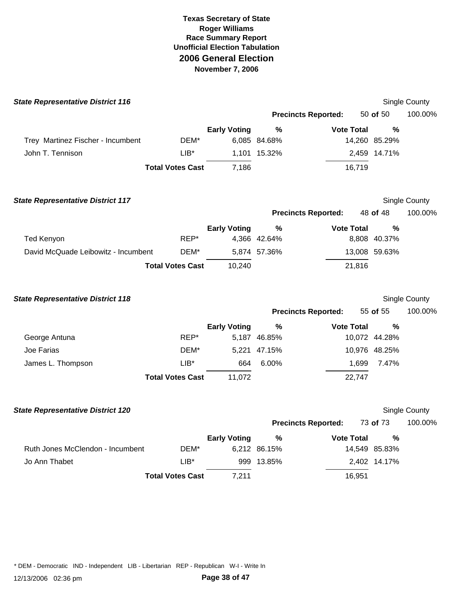| <b>State Representative District 116</b> |                         |                     |               |                            |               | Single County |
|------------------------------------------|-------------------------|---------------------|---------------|----------------------------|---------------|---------------|
|                                          |                         |                     |               | <b>Precincts Reported:</b> | 50 of 50      | 100.00%       |
|                                          |                         | <b>Early Voting</b> | $\frac{0}{0}$ | <b>Vote Total</b>          | $\frac{0}{0}$ |               |
| Trey Martinez Fischer - Incumbent        | DEM*                    |                     | 6,085 84.68%  |                            | 14,260 85.29% |               |
| John T. Tennison                         | $LIB*$                  |                     | 1,101 15.32%  |                            | 2,459 14.71%  |               |
|                                          | <b>Total Votes Cast</b> | 7,186               |               | 16,719                     |               |               |
| <b>State Representative District 117</b> |                         |                     |               |                            |               | Single County |
|                                          |                         |                     |               | <b>Precincts Reported:</b> | 48 of 48      | 100.00%       |
|                                          |                         | <b>Early Voting</b> | %             | <b>Vote Total</b>          | $\frac{0}{0}$ |               |
| <b>Ted Kenyon</b>                        | REP*                    |                     | 4,366 42.64%  |                            | 8,808 40.37%  |               |
| David McQuade Leibowitz - Incumbent      | DEM*                    |                     | 5,874 57.36%  |                            | 13,008 59.63% |               |
|                                          | <b>Total Votes Cast</b> | 10,240              |               | 21,816                     |               |               |
| <b>State Representative District 118</b> |                         |                     |               |                            |               | Single County |
|                                          |                         |                     |               | <b>Precincts Reported:</b> | 55 of 55      | 100.00%       |
|                                          |                         | <b>Early Voting</b> | $\%$          | <b>Vote Total</b>          | $\frac{0}{0}$ |               |
| George Antuna                            | REP*                    |                     | 5,187 46.85%  |                            | 10,072 44.28% |               |
| Joe Farias                               | DEM*                    |                     | 5,221 47.15%  |                            | 10,976 48.25% |               |
| James L. Thompson                        | $LIB*$                  | 664                 | 6.00%         | 1,699                      | 7.47%         |               |
|                                          | <b>Total Votes Cast</b> | 11,072              |               | 22,747                     |               |               |
| <b>State Representative District 120</b> |                         |                     |               |                            |               | Single County |
|                                          |                         |                     |               | <b>Precincts Reported:</b> | 73 of 73      | 100.00%       |
|                                          |                         | <b>Early Voting</b> | %             | <b>Vote Total</b>          | $\%$          |               |
| Ruth Jones McClendon - Incumbent         | DEM*                    |                     | 6,212 86.15%  |                            | 14,549 85.83% |               |
| Jo Ann Thabet                            | $LIB^*$                 |                     | 999 13.85%    |                            | 2,402 14.17%  |               |
|                                          | <b>Total Votes Cast</b> | 7,211               |               | 16,951                     |               |               |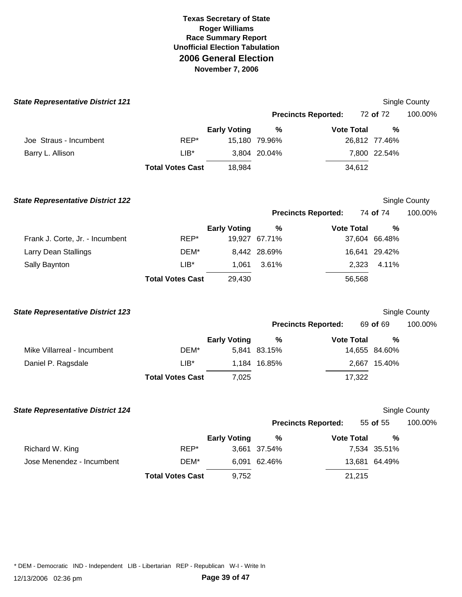| <b>State Representative District 121</b> |                         |                     |               |                            |               | Single County |
|------------------------------------------|-------------------------|---------------------|---------------|----------------------------|---------------|---------------|
|                                          |                         |                     |               | <b>Precincts Reported:</b> | 72 of 72      | 100.00%       |
|                                          |                         | <b>Early Voting</b> | $\%$          | <b>Vote Total</b>          | %             |               |
| Joe Straus - Incumbent                   | REP*                    |                     | 15,180 79.96% |                            | 26,812 77.46% |               |
| Barry L. Allison                         | $LIB*$                  |                     | 3,804 20.04%  |                            | 7,800 22.54%  |               |
|                                          | <b>Total Votes Cast</b> | 18,984              |               | 34,612                     |               |               |
| <b>State Representative District 122</b> |                         |                     |               |                            |               | Single County |
|                                          |                         |                     |               | <b>Precincts Reported:</b> | 74 of 74      | 100.00%       |
|                                          |                         | <b>Early Voting</b> | $\%$          | <b>Vote Total</b>          | %             |               |
| Frank J. Corte, Jr. - Incumbent          | REP*                    |                     | 19,927 67.71% |                            | 37,604 66.48% |               |
| Larry Dean Stallings                     | DEM*                    |                     | 8,442 28.69%  |                            | 16,641 29.42% |               |
| Sally Baynton                            | $LIB^*$                 | 1,061               | 3.61%         | 2,323                      | 4.11%         |               |
|                                          | <b>Total Votes Cast</b> | 29,430              |               | 56,568                     |               |               |
| <b>State Representative District 123</b> |                         |                     |               |                            |               | Single County |
|                                          |                         |                     |               | <b>Precincts Reported:</b> | 69 of 69      | 100.00%       |
|                                          |                         | <b>Early Voting</b> | %             | <b>Vote Total</b>          | %             |               |
| Mike Villarreal - Incumbent              | DEM*                    |                     | 5,841 83.15%  |                            | 14,655 84.60% |               |
| Daniel P. Ragsdale                       | $LIB*$                  |                     | 1,184 16.85%  |                            | 2,667 15.40%  |               |
|                                          | <b>Total Votes Cast</b> | 7,025               |               | 17,322                     |               |               |
| <b>State Representative District 124</b> |                         |                     |               |                            |               | Single County |
|                                          |                         |                     |               | <b>Precincts Reported:</b> | 55 of 55      | 100.00%       |
|                                          |                         | <b>Early Voting</b> | $\%$          | <b>Vote Total</b>          | %             |               |
| Richard W. King                          | REP*                    |                     | 3,661 37.54%  |                            | 7,534 35.51%  |               |
| Jose Menendez - Incumbent                | DEM*                    |                     | 6,091 62.46%  |                            | 13,681 64.49% |               |
|                                          | <b>Total Votes Cast</b> | 9,752               |               | 21,215                     |               |               |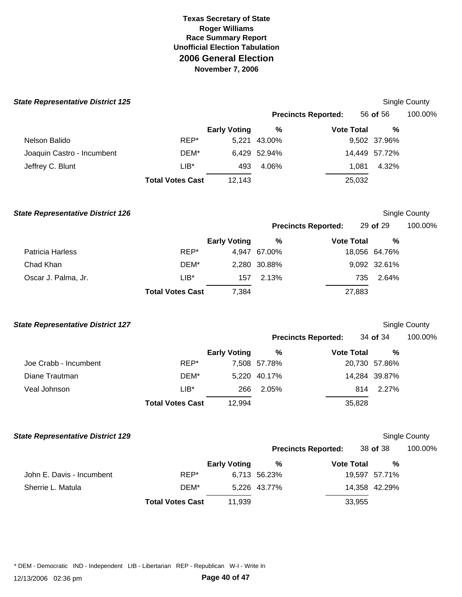| <b>State Representative District 125</b> |                         |                     |              |                            |               | <b>Single County</b> |
|------------------------------------------|-------------------------|---------------------|--------------|----------------------------|---------------|----------------------|
|                                          |                         |                     |              | <b>Precincts Reported:</b> | 56 of 56      | 100.00%              |
|                                          |                         | <b>Early Voting</b> | %            | <b>Vote Total</b>          | %             |                      |
| Nelson Balido                            | REP*                    | 5,221               | 43.00%       |                            | 9,502 37.96%  |                      |
| Joaquin Castro - Incumbent               | DEM*                    |                     | 6,429 52.94% |                            | 14,449 57.72% |                      |
| Jeffrey C. Blunt                         | LIB*                    | 493                 | 4.06%        | 1,081                      | 4.32%         |                      |
|                                          | <b>Total Votes Cast</b> | 12,143              |              | 25,032                     |               |                      |
| <b>State Representative District 126</b> |                         |                     |              |                            |               | Single County        |
|                                          |                         |                     |              | <b>Precincts Reported:</b> | 29 of 29      | 100.00%              |
|                                          |                         | <b>Early Voting</b> | %            | <b>Vote Total</b>          | $\frac{0}{0}$ |                      |
| <b>Patricia Harless</b>                  | REP*                    |                     | 4,947 67.00% |                            | 18,056 64.76% |                      |
| Chad Khan                                | DEM*                    |                     | 2,280 30.88% |                            | 9,092 32.61%  |                      |
| Oscar J. Palma, Jr.                      | $LIB*$                  | 157                 | 2.13%        | 735                        | 2.64%         |                      |
|                                          | <b>Total Votes Cast</b> | 7,384               |              | 27,883                     |               |                      |
| <b>State Representative District 127</b> |                         |                     |              |                            |               | Single County        |
|                                          |                         |                     |              | <b>Precincts Reported:</b> | 34 of 34      | 100.00%              |
|                                          |                         | <b>Early Voting</b> | $\%$         | <b>Vote Total</b>          | %             |                      |
| Joe Crabb - Incumbent                    | REP*                    |                     | 7,508 57.78% |                            | 20,730 57.86% |                      |
| Diane Trautman                           | DEM*                    |                     | 5,220 40.17% |                            | 14,284 39.87% |                      |
| Veal Johnson                             | LIB*                    | 266                 | 2.05%        | 814                        | 2.27%         |                      |
|                                          | <b>Total Votes Cast</b> | 12,994              |              | 35,828                     |               |                      |
| <b>State Representative District 129</b> |                         |                     |              |                            |               | <b>Single County</b> |
|                                          |                         |                     |              | <b>Precincts Reported:</b> | 38 of 38      | 100.00%              |
|                                          |                         | <b>Early Voting</b> | $\%$         | <b>Vote Total</b>          | %             |                      |
| John E. Davis - Incumbent                | REP*                    |                     | 6,713 56.23% |                            | 19,597 57.71% |                      |
| Sherrie L. Matula                        | DEM*                    |                     | 5,226 43.77% |                            | 14,358 42.29% |                      |
|                                          | <b>Total Votes Cast</b> | 11,939              |              | 33,955                     |               |                      |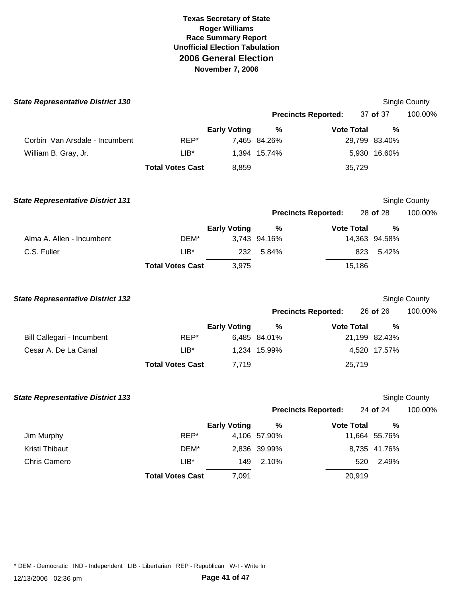| <b>State Representative District 130</b> |                         |                     |                   |                            |                    | Single County |
|------------------------------------------|-------------------------|---------------------|-------------------|----------------------------|--------------------|---------------|
|                                          |                         |                     |                   | <b>Precincts Reported:</b> | 37 of 37           | 100.00%       |
|                                          |                         | <b>Early Voting</b> | $\%$              | <b>Vote Total</b>          | $\%$               |               |
| Corbin Van Arsdale - Incumbent           | REP*                    |                     | 7,465 84.26%      |                            | 29,799 83.40%      |               |
| William B. Gray, Jr.                     | $LIB*$                  |                     | 1,394 15.74%      |                            | 5,930 16.60%       |               |
|                                          | <b>Total Votes Cast</b> | 8,859               |                   | 35,729                     |                    |               |
| <b>State Representative District 131</b> |                         |                     |                   |                            |                    | Single County |
|                                          |                         |                     |                   | <b>Precincts Reported:</b> | 28 of 28           | 100.00%       |
|                                          |                         | <b>Early Voting</b> | $\%$              | <b>Vote Total</b>          | $\frac{0}{0}$      |               |
| Alma A. Allen - Incumbent                | DEM*                    |                     | 3,743 94.16%      |                            | 14,363 94.58%      |               |
| C.S. Fuller                              | $LIB*$                  | 232                 | 5.84%             | 823                        | 5.42%              |               |
|                                          | <b>Total Votes Cast</b> | 3,975               |                   | 15,186                     |                    |               |
| <b>State Representative District 132</b> |                         |                     |                   |                            |                    | Single County |
|                                          |                         |                     |                   | <b>Precincts Reported:</b> | 26 of 26           | 100.00%       |
|                                          |                         | <b>Early Voting</b> | %                 | <b>Vote Total</b>          | $\%$               |               |
| Bill Callegari - Incumbent               | REP*                    |                     | 6,485 84.01%      |                            | 21,199 82.43%      |               |
| Cesar A. De La Canal                     | $LIB^*$                 |                     | 1,234 15.99%      |                            | 4,520 17.57%       |               |
|                                          | <b>Total Votes Cast</b> | 7,719               |                   | 25,719                     |                    |               |
| <b>State Representative District 133</b> |                         |                     |                   |                            |                    | Single County |
|                                          |                         |                     |                   | <b>Precincts Reported:</b> | 24 of 24           | 100.00%       |
| Jim Murphy                               | REP*                    | <b>Early Voting</b> | %<br>4,106 57.90% | <b>Vote Total</b>          | %<br>11,664 55.76% |               |
| Kristi Thibaut                           | DEM*                    |                     | 2,836 39.99%      |                            | 8,735 41.76%       |               |
| Chris Camero                             | $LIB*$                  | 149                 | 2.10%             | 520                        | 2.49%              |               |
|                                          | <b>Total Votes Cast</b> | 7,091               |                   | 20,919                     |                    |               |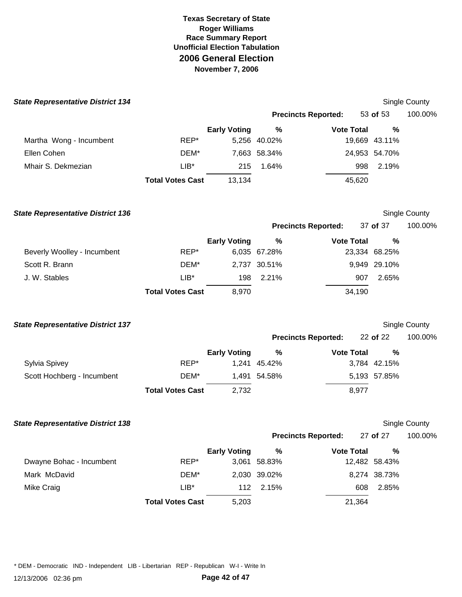| <b>State Representative District 134</b> |                         |                     |              |                            |        |               | Single County        |
|------------------------------------------|-------------------------|---------------------|--------------|----------------------------|--------|---------------|----------------------|
|                                          |                         |                     |              | <b>Precincts Reported:</b> |        | 53 of 53      | 100.00%              |
|                                          |                         | <b>Early Voting</b> | %            | <b>Vote Total</b>          |        | %             |                      |
| Martha Wong - Incumbent                  | REP*                    |                     | 5,256 40.02% |                            |        | 19,669 43.11% |                      |
| Ellen Cohen                              | DEM*                    |                     | 7,663 58.34% |                            |        | 24,953 54.70% |                      |
| Mhair S. Dekmezian                       | $LIB*$                  | 215                 | 1.64%        |                            | 998    | 2.19%         |                      |
|                                          | <b>Total Votes Cast</b> | 13,134              |              |                            | 45,620 |               |                      |
| <b>State Representative District 136</b> |                         |                     |              |                            |        |               | Single County        |
|                                          |                         |                     |              | <b>Precincts Reported:</b> |        | 37 of 37      | 100.00%              |
|                                          |                         | <b>Early Voting</b> | $\%$         | <b>Vote Total</b>          |        | %             |                      |
| Beverly Woolley - Incumbent              | REP*                    |                     | 6,035 67.28% |                            |        | 23,334 68.25% |                      |
| Scott R. Brann                           | DEM*                    |                     | 2,737 30.51% |                            |        | 9,949 29.10%  |                      |
| J. W. Stables                            | $LIB*$                  | 198                 | 2.21%        |                            | 907    | 2.65%         |                      |
|                                          | <b>Total Votes Cast</b> | 8,970               |              |                            | 34,190 |               |                      |
| <b>State Representative District 137</b> |                         |                     |              |                            |        |               | Single County        |
|                                          |                         |                     |              | <b>Precincts Reported:</b> |        | 22 of 22      | 100.00%              |
|                                          |                         | <b>Early Voting</b> | %            | <b>Vote Total</b>          |        | %             |                      |
| Sylvia Spivey                            | REP*                    |                     | 1,241 45.42% |                            |        | 3,784 42.15%  |                      |
| Scott Hochberg - Incumbent               | DEM*                    |                     | 1,491 54.58% |                            |        | 5,193 57.85%  |                      |
|                                          | <b>Total Votes Cast</b> | 2,732               |              |                            | 8,977  |               |                      |
| <b>State Representative District 138</b> |                         |                     |              |                            |        |               | <b>Single County</b> |
|                                          |                         |                     |              | <b>Precincts Reported:</b> |        | 27 of 27      | 100.00%              |
|                                          |                         | <b>Early Voting</b> | $\%$         | <b>Vote Total</b>          |        | %             |                      |
| Dwayne Bohac - Incumbent                 | REP*                    |                     | 3,061 58.83% |                            |        | 12,482 58.43% |                      |
| Mark McDavid                             | DEM*                    |                     | 2,030 39.02% |                            |        | 8,274 38.73%  |                      |
| <b>Mike Craig</b>                        | $LIB^*$                 | 112                 | 2.15%        |                            | 608    | 2.85%         |                      |
|                                          | <b>Total Votes Cast</b> | 5,203               |              |                            | 21,364 |               |                      |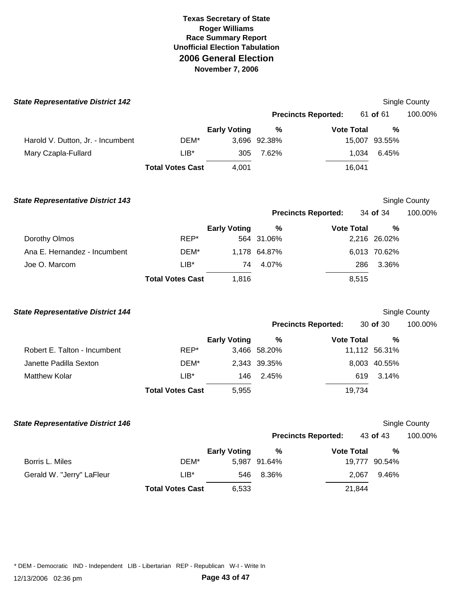| <b>State Representative District 142</b> |                         |                     |              |                            |               | Single County        |
|------------------------------------------|-------------------------|---------------------|--------------|----------------------------|---------------|----------------------|
|                                          |                         |                     |              | <b>Precincts Reported:</b> | 61 of 61      | 100.00%              |
|                                          |                         | <b>Early Voting</b> | %            | <b>Vote Total</b>          | %             |                      |
| Harold V. Dutton, Jr. - Incumbent        | DEM*                    |                     | 3,696 92.38% |                            | 15,007 93.55% |                      |
| Mary Czapla-Fullard                      | LIB*                    | 305                 | 7.62%        | 1,034                      | 6.45%         |                      |
|                                          | <b>Total Votes Cast</b> | 4,001               |              | 16,041                     |               |                      |
| <b>State Representative District 143</b> |                         |                     |              |                            |               | Single County        |
|                                          |                         |                     |              | <b>Precincts Reported:</b> | 34 of 34      | 100.00%              |
|                                          |                         | <b>Early Voting</b> | %            | <b>Vote Total</b>          | %             |                      |
| Dorothy Olmos                            | REP*                    |                     | 564 31.06%   |                            | 2,216 26.02%  |                      |
| Ana E. Hernandez - Incumbent             | DEM*                    |                     | 1,178 64.87% |                            | 6,013 70.62%  |                      |
| Joe O. Marcom                            | $LIB*$                  | 74                  | 4.07%        | 286                        | 3.36%         |                      |
|                                          | <b>Total Votes Cast</b> | 1,816               |              | 8,515                      |               |                      |
| <b>State Representative District 144</b> |                         |                     |              |                            |               | Single County        |
|                                          |                         |                     |              | <b>Precincts Reported:</b> | 30 of 30      | 100.00%              |
|                                          |                         | <b>Early Voting</b> | $\%$         | <b>Vote Total</b>          | %             |                      |
| Robert E. Talton - Incumbent             | REP*                    |                     | 3,466 58.20% |                            | 11,112 56.31% |                      |
| Janette Padilla Sexton                   | DEM*                    |                     | 2,343 39.35% |                            | 8,003 40.55%  |                      |
| <b>Matthew Kolar</b>                     | $LIB^*$                 | 146                 | 2.45%        | 619                        | 3.14%         |                      |
|                                          | <b>Total Votes Cast</b> | 5,955               |              | 19,734                     |               |                      |
| <b>State Representative District 146</b> |                         |                     |              |                            |               | <b>Single County</b> |
|                                          |                         |                     |              | <b>Precincts Reported:</b> | 43 of 43      | 100.00%              |
|                                          |                         | <b>Early Voting</b> | $\%$         | <b>Vote Total</b>          | $\%$          |                      |
| Borris L. Miles                          | DEM*                    |                     | 5,987 91.64% |                            | 19,777 90.54% |                      |
| Gerald W. "Jerry" LaFleur                | $LIB*$                  | 546                 | 8.36%        | 2,067                      | 9.46%         |                      |
|                                          | <b>Total Votes Cast</b> | 6,533               |              | 21,844                     |               |                      |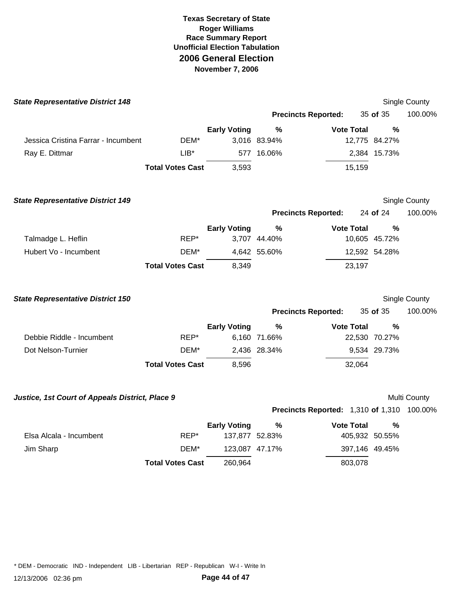| <b>State Representative District 148</b>        |                         |                     |              |                                            |                | Single County |
|-------------------------------------------------|-------------------------|---------------------|--------------|--------------------------------------------|----------------|---------------|
|                                                 |                         |                     |              | <b>Precincts Reported:</b>                 | 35 of 35       | 100.00%       |
|                                                 |                         | <b>Early Voting</b> | %            | <b>Vote Total</b>                          | $\frac{0}{0}$  |               |
| Jessica Cristina Farrar - Incumbent             | DEM*                    |                     | 3,016 83.94% |                                            | 12,775 84.27%  |               |
| Ray E. Dittmar                                  | $LIB*$                  |                     | 577 16.06%   |                                            | 2,384 15.73%   |               |
|                                                 | <b>Total Votes Cast</b> | 3,593               |              | 15,159                                     |                |               |
| <b>State Representative District 149</b>        |                         |                     |              |                                            |                | Single County |
|                                                 |                         |                     |              | <b>Precincts Reported:</b>                 | 24 of 24       | 100.00%       |
|                                                 |                         | <b>Early Voting</b> | $\%$         | <b>Vote Total</b>                          | $\frac{0}{0}$  |               |
| Talmadge L. Heflin                              | REP*                    |                     | 3,707 44.40% |                                            | 10,605 45.72%  |               |
| Hubert Vo - Incumbent                           | DEM*                    |                     | 4,642 55.60% |                                            | 12,592 54.28%  |               |
|                                                 | <b>Total Votes Cast</b> | 8,349               |              | 23,197                                     |                |               |
| <b>State Representative District 150</b>        |                         |                     |              |                                            |                | Single County |
|                                                 |                         |                     |              | <b>Precincts Reported:</b>                 | 35 of 35       | 100.00%       |
|                                                 |                         | <b>Early Voting</b> | ℅            | <b>Vote Total</b>                          | $\%$           |               |
| Debbie Riddle - Incumbent                       | REP*                    |                     | 6,160 71.66% |                                            | 22,530 70.27%  |               |
| Dot Nelson-Turnier                              | DEM*                    |                     | 2,436 28.34% |                                            | 9,534 29.73%   |               |
|                                                 | <b>Total Votes Cast</b> | 8,596               |              | 32,064                                     |                |               |
| Justice, 1st Court of Appeals District, Place 9 |                         |                     |              |                                            |                | Multi County  |
|                                                 |                         |                     |              | Precincts Reported: 1,310 of 1,310 100.00% |                |               |
|                                                 |                         | <b>Early Voting</b> | %            | <b>Vote Total</b>                          | $\%$           |               |
| Elsa Alcala - Incumbent                         | REP*                    | 137,877 52.83%      |              |                                            | 405,932 50.55% |               |
| Jim Sharp                                       | DEM*                    | 123,087 47.17%      |              |                                            | 397,146 49.45% |               |
|                                                 | <b>Total Votes Cast</b> | 260,964             |              | 803,078                                    |                |               |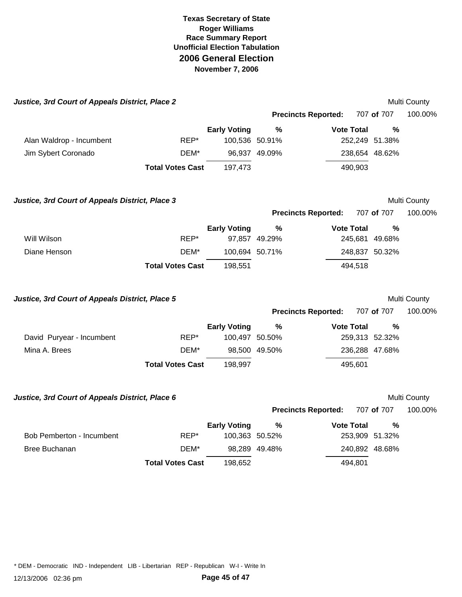| Justice, 3rd Court of Appeals District, Place 2 |                         |                     |                            |                   |                | Multi County |
|-------------------------------------------------|-------------------------|---------------------|----------------------------|-------------------|----------------|--------------|
|                                                 |                         |                     | <b>Precincts Reported:</b> |                   | 707 of 707     | 100.00%      |
|                                                 |                         | <b>Early Voting</b> | $\%$                       | <b>Vote Total</b> | $\frac{0}{0}$  |              |
| Alan Waldrop - Incumbent                        | REP*                    | 100,536 50.91%      |                            |                   | 252,249 51.38% |              |
| Jim Sybert Coronado                             | DEM*                    |                     | 96,937 49.09%              |                   | 238,654 48.62% |              |
|                                                 | <b>Total Votes Cast</b> | 197,473             |                            | 490,903           |                |              |
| Justice, 3rd Court of Appeals District, Place 3 |                         |                     |                            |                   |                | Multi County |
|                                                 |                         |                     | <b>Precincts Reported:</b> |                   | 707 of 707     | 100.00%      |
|                                                 |                         | <b>Early Voting</b> | $\frac{9}{6}$              | <b>Vote Total</b> | %              |              |
| Will Wilson                                     | REP*                    |                     | 97,857 49.29%              |                   | 245,681 49.68% |              |
| Diane Henson                                    | DEM*                    | 100,694 50.71%      |                            |                   | 248,837 50.32% |              |
|                                                 | <b>Total Votes Cast</b> | 198,551             |                            | 494,518           |                |              |
| Justice, 3rd Court of Appeals District, Place 5 |                         |                     |                            |                   |                | Multi County |
|                                                 |                         |                     | <b>Precincts Reported:</b> |                   | 707 of 707     | 100.00%      |
|                                                 |                         | <b>Early Voting</b> | %                          | <b>Vote Total</b> | $\%$           |              |
| David Puryear - Incumbent                       | REP*                    | 100,497 50.50%      |                            |                   | 259,313 52.32% |              |
| Mina A. Brees                                   | DEM*                    | 98,500 49.50%       |                            |                   | 236,288 47.68% |              |
|                                                 |                         |                     |                            |                   |                |              |
|                                                 | <b>Total Votes Cast</b> | 198,997             |                            | 495,601           |                |              |
| Justice, 3rd Court of Appeals District, Place 6 |                         |                     |                            |                   |                | Multi County |
|                                                 |                         |                     | <b>Precincts Reported:</b> |                   | 707 of 707     | 100.00%      |
|                                                 |                         | <b>Early Voting</b> | %                          | <b>Vote Total</b> | %              |              |
| Bob Pemberton - Incumbent                       | REP*                    | 100,363 50.52%      |                            |                   | 253,909 51.32% |              |
| <b>Bree Buchanan</b>                            | DEM*                    |                     | 98,289 49.48%              |                   | 240,892 48.68% |              |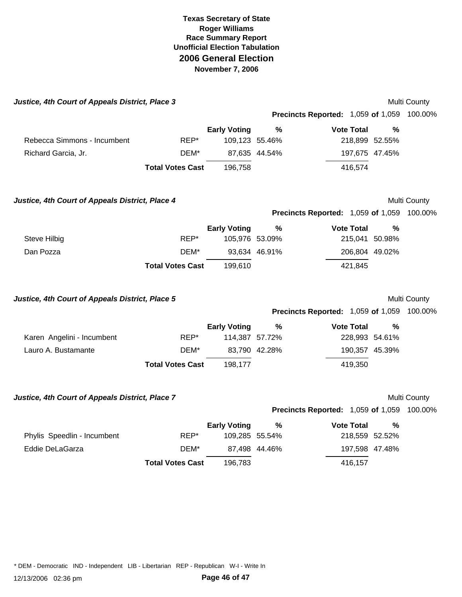| Justice, 4th Court of Appeals District, Place 3 |                         |                     |               |                                                   |               | Multi County |
|-------------------------------------------------|-------------------------|---------------------|---------------|---------------------------------------------------|---------------|--------------|
|                                                 |                         |                     |               | <b>Precincts Reported: 1,059 of 1,059 100.00%</b> |               |              |
|                                                 |                         | <b>Early Voting</b> | $\%$          | <b>Vote Total</b>                                 | $\frac{0}{0}$ |              |
| Rebecca Simmons - Incumbent                     | REP*                    | 109,123 55.46%      |               | 218,899 52.55%                                    |               |              |
| Richard Garcia, Jr.                             | DEM*                    |                     | 87,635 44.54% | 197,675 47.45%                                    |               |              |
|                                                 | <b>Total Votes Cast</b> | 196,758             |               | 416,574                                           |               |              |
| Justice, 4th Court of Appeals District, Place 4 |                         |                     |               |                                                   |               | Multi County |
|                                                 |                         |                     |               | Precincts Reported: 1,059 of 1,059 100.00%        |               |              |
|                                                 |                         | <b>Early Voting</b> | $\%$          | <b>Vote Total</b>                                 | %             |              |
| <b>Steve Hilbig</b>                             | REP*                    | 105,976 53.09%      |               | 215,041 50.98%                                    |               |              |
| Dan Pozza                                       | DEM*                    |                     | 93,634 46.91% | 206,804 49.02%                                    |               |              |
|                                                 | <b>Total Votes Cast</b> | 199,610             |               | 421,845                                           |               |              |
| Justice, 4th Court of Appeals District, Place 5 |                         |                     |               |                                                   |               | Multi County |
|                                                 |                         |                     |               | <b>Precincts Reported: 1,059 of 1,059 100.00%</b> |               |              |
|                                                 |                         | <b>Early Voting</b> | $\%$          | <b>Vote Total</b>                                 | %             |              |
| Karen Angelini - Incumbent                      | REP*                    | 114,387 57.72%      |               | 228,993 54.61%                                    |               |              |
| Lauro A. Bustamante                             | DEM*                    |                     | 83,790 42.28% | 190,357 45.39%                                    |               |              |
|                                                 | <b>Total Votes Cast</b> | 198,177             |               | 419,350                                           |               |              |
| Justice, 4th Court of Appeals District, Place 7 |                         |                     |               |                                                   |               |              |
|                                                 |                         |                     |               |                                                   |               | Multi County |
|                                                 |                         |                     |               | <b>Precincts Reported: 1,059 of 1,059 100.00%</b> |               |              |
|                                                 |                         | <b>Early Voting</b> | %             | <b>Vote Total</b>                                 | %             |              |
| Phylis Speedlin - Incumbent                     | REP*                    | 109,285 55.54%      |               | 218,559 52.52%                                    |               |              |
| Eddie DeLaGarza                                 | DEM*                    |                     | 87,498 44.46% | 197,598 47.48%                                    |               |              |